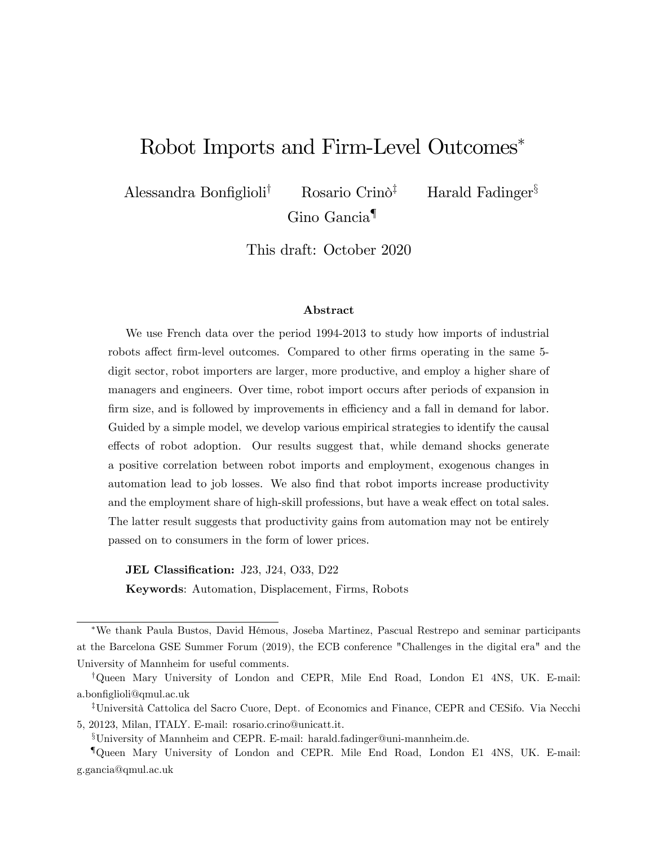# Robot Imports and Firm-Level Outcomes

Alessandra Bonfiglioli<sup>†</sup> Rosario Crinõ<sup>‡</sup> Harald Fadinger<sup>§</sup> Gino Gancia<sup>¶</sup>

This draft: October 2020

### Abstract

We use French data over the period 1994-2013 to study how imports of industrial robots affect firm-level outcomes. Compared to other firms operating in the same 5digit sector, robot importers are larger, more productive, and employ a higher share of managers and engineers. Over time, robot import occurs after periods of expansion in firm size, and is followed by improvements in efficiency and a fall in demand for labor. Guided by a simple model, we develop various empirical strategies to identify the causal effects of robot adoption. Our results suggest that, while demand shocks generate a positive correlation between robot imports and employment, exogenous changes in automation lead to job losses. We also Önd that robot imports increase productivity and the employment share of high-skill professions, but have a weak effect on total sales. The latter result suggests that productivity gains from automation may not be entirely passed on to consumers in the form of lower prices.

JEL Classification: J23, J24, O33, D22

Keywords: Automation, Displacement, Firms, Robots

We thank Paula Bustos, David HÈmous, Joseba Martinez, Pascual Restrepo and seminar participants at the Barcelona GSE Summer Forum (2019), the ECB conference "Challenges in the digital era" and the University of Mannheim for useful comments.

<sup>&</sup>lt;sup>†</sup>Queen Mary University of London and CEPR, Mile End Road, London E1 4NS, UK. E-mail: a.bonfiglioli@qmul.ac.uk

<sup>&</sup>lt;sup>‡</sup>Università Cattolica del Sacro Cuore, Dept. of Economics and Finance, CEPR and CESifo. Via Necchi 5, 20123, Milan, ITALY. E-mail: rosario.crino@unicatt.it.

<sup>x</sup>University of Mannheim and CEPR. E-mail: harald.fadinger@uni-mannheim.de.

<sup>{</sup>Queen Mary University of London and CEPR. Mile End Road, London E1 4NS, UK. E-mail: g.gancia@qmul.ac.uk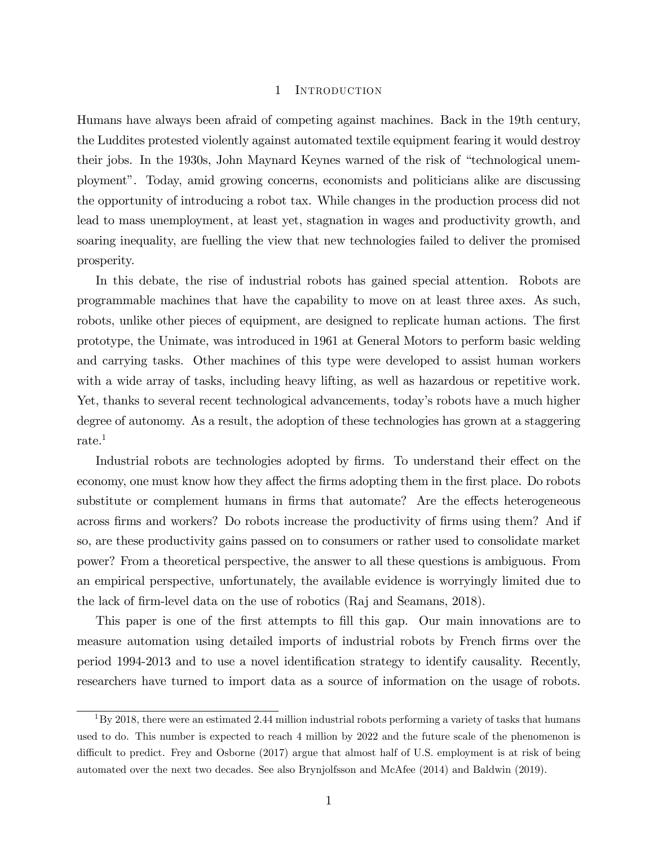## 1 INTRODUCTION

Humans have always been afraid of competing against machines. Back in the 19th century, the Luddites protested violently against automated textile equipment fearing it would destroy their jobs. In the 1930s, John Maynard Keynes warned of the risk of "technological unemploymentî. Today, amid growing concerns, economists and politicians alike are discussing the opportunity of introducing a robot tax. While changes in the production process did not lead to mass unemployment, at least yet, stagnation in wages and productivity growth, and soaring inequality, are fuelling the view that new technologies failed to deliver the promised prosperity.

In this debate, the rise of industrial robots has gained special attention. Robots are programmable machines that have the capability to move on at least three axes. As such, robots, unlike other pieces of equipment, are designed to replicate human actions. The first prototype, the Unimate, was introduced in 1961 at General Motors to perform basic welding and carrying tasks. Other machines of this type were developed to assist human workers with a wide array of tasks, including heavy lifting, as well as hazardous or repetitive work. Yet, thanks to several recent technological advancements, today's robots have a much higher degree of autonomy. As a result, the adoption of these technologies has grown at a staggering rate.<sup>1</sup>

Industrial robots are technologies adopted by firms. To understand their effect on the economy, one must know how they affect the firms adopting them in the first place. Do robots substitute or complement humans in firms that automate? Are the effects heterogeneous across firms and workers? Do robots increase the productivity of firms using them? And if so, are these productivity gains passed on to consumers or rather used to consolidate market power? From a theoretical perspective, the answer to all these questions is ambiguous. From an empirical perspective, unfortunately, the available evidence is worryingly limited due to the lack of firm-level data on the use of robotics (Raj and Seamans, 2018).

This paper is one of the first attempts to fill this gap. Our main innovations are to measure automation using detailed imports of industrial robots by French firms over the period 1994-2013 and to use a novel identification strategy to identify causality. Recently, researchers have turned to import data as a source of information on the usage of robots.

<sup>&</sup>lt;sup>1</sup>By 2018, there were an estimated 2.44 million industrial robots performing a variety of tasks that humans used to do. This number is expected to reach 4 million by 2022 and the future scale of the phenomenon is difficult to predict. Frey and Osborne (2017) argue that almost half of U.S. employment is at risk of being automated over the next two decades. See also Brynjolfsson and McAfee (2014) and Baldwin (2019).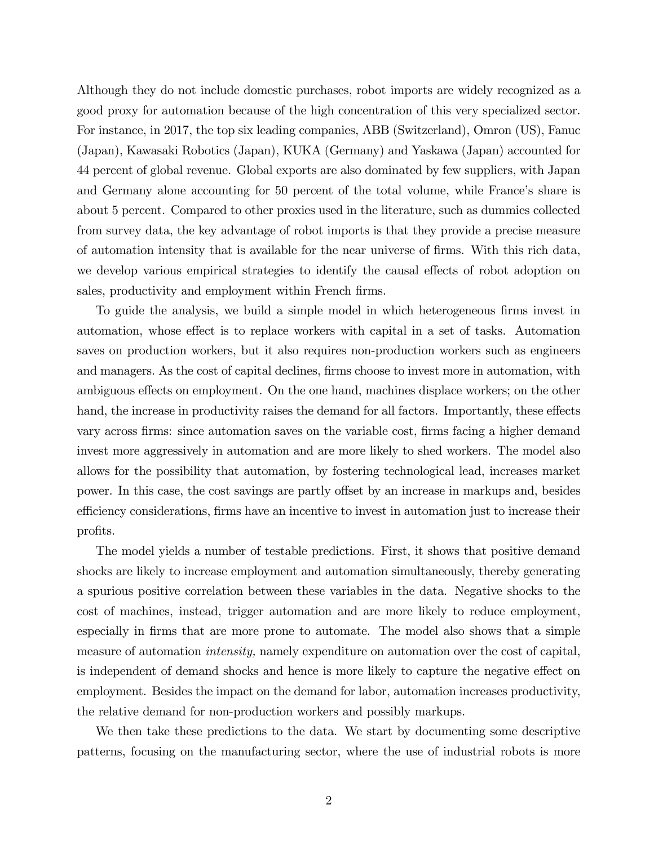Although they do not include domestic purchases, robot imports are widely recognized as a good proxy for automation because of the high concentration of this very specialized sector. For instance, in 2017, the top six leading companies, ABB (Switzerland), Omron (US), Fanuc (Japan), Kawasaki Robotics (Japan), KUKA (Germany) and Yaskawa (Japan) accounted for 44 percent of global revenue. Global exports are also dominated by few suppliers, with Japan and Germany alone accounting for 50 percent of the total volume, while France's share is about 5 percent. Compared to other proxies used in the literature, such as dummies collected from survey data, the key advantage of robot imports is that they provide a precise measure of automation intensity that is available for the near universe of Örms. With this rich data, we develop various empirical strategies to identify the causal effects of robot adoption on sales, productivity and employment within French firms.

To guide the analysis, we build a simple model in which heterogeneous firms invest in automation, whose effect is to replace workers with capital in a set of tasks. Automation saves on production workers, but it also requires non-production workers such as engineers and managers. As the cost of capital declines, firms choose to invest more in automation, with ambiguous effects on employment. On the one hand, machines displace workers; on the other hand, the increase in productivity raises the demand for all factors. Importantly, these effects vary across firms: since automation saves on the variable cost, firms facing a higher demand invest more aggressively in automation and are more likely to shed workers. The model also allows for the possibility that automation, by fostering technological lead, increases market power. In this case, the cost savings are partly offset by an increase in markups and, besides efficiency considerations, firms have an incentive to invest in automation just to increase their profits.

The model yields a number of testable predictions. First, it shows that positive demand shocks are likely to increase employment and automation simultaneously, thereby generating a spurious positive correlation between these variables in the data. Negative shocks to the cost of machines, instead, trigger automation and are more likely to reduce employment, especially in firms that are more prone to automate. The model also shows that a simple measure of automation intensity, namely expenditure on automation over the cost of capital, is independent of demand shocks and hence is more likely to capture the negative effect on employment. Besides the impact on the demand for labor, automation increases productivity, the relative demand for non-production workers and possibly markups.

We then take these predictions to the data. We start by documenting some descriptive patterns, focusing on the manufacturing sector, where the use of industrial robots is more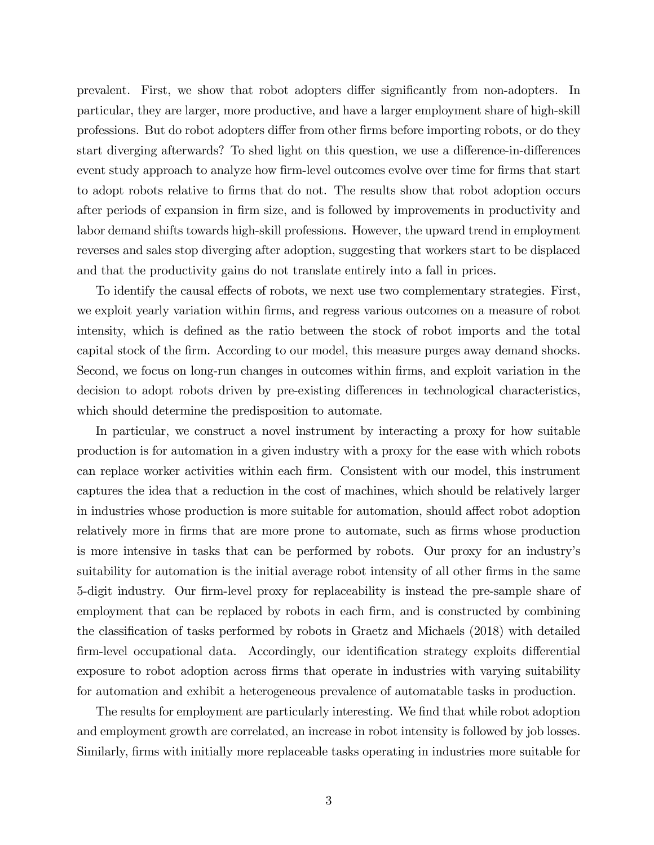prevalent. First, we show that robot adopters differ significantly from non-adopters. In particular, they are larger, more productive, and have a larger employment share of high-skill professions. But do robot adopters differ from other firms before importing robots, or do they start diverging afterwards? To shed light on this question, we use a difference-in-differences event study approach to analyze how firm-level outcomes evolve over time for firms that start to adopt robots relative to Örms that do not. The results show that robot adoption occurs after periods of expansion in firm size, and is followed by improvements in productivity and labor demand shifts towards high-skill professions. However, the upward trend in employment reverses and sales stop diverging after adoption, suggesting that workers start to be displaced and that the productivity gains do not translate entirely into a fall in prices.

To identify the causal effects of robots, we next use two complementary strategies. First, we exploit yearly variation within firms, and regress various outcomes on a measure of robot intensity, which is defined as the ratio between the stock of robot imports and the total capital stock of the Örm. According to our model, this measure purges away demand shocks. Second, we focus on long-run changes in outcomes within Örms, and exploit variation in the decision to adopt robots driven by pre-existing differences in technological characteristics, which should determine the predisposition to automate.

In particular, we construct a novel instrument by interacting a proxy for how suitable production is for automation in a given industry with a proxy for the ease with which robots can replace worker activities within each Örm. Consistent with our model, this instrument captures the idea that a reduction in the cost of machines, which should be relatively larger in industries whose production is more suitable for automation, should affect robot adoption relatively more in firms that are more prone to automate, such as firms whose production is more intensive in tasks that can be performed by robots. Our proxy for an industryís suitability for automation is the initial average robot intensity of all other firms in the same 5-digit industry. Our firm-level proxy for replaceability is instead the pre-sample share of employment that can be replaced by robots in each firm, and is constructed by combining the classification of tasks performed by robots in Graetz and Michaels (2018) with detailed firm-level occupational data. Accordingly, our identification strategy exploits differential exposure to robot adoption across firms that operate in industries with varying suitability for automation and exhibit a heterogeneous prevalence of automatable tasks in production.

The results for employment are particularly interesting. We find that while robot adoption and employment growth are correlated, an increase in robot intensity is followed by job losses. Similarly, firms with initially more replaceable tasks operating in industries more suitable for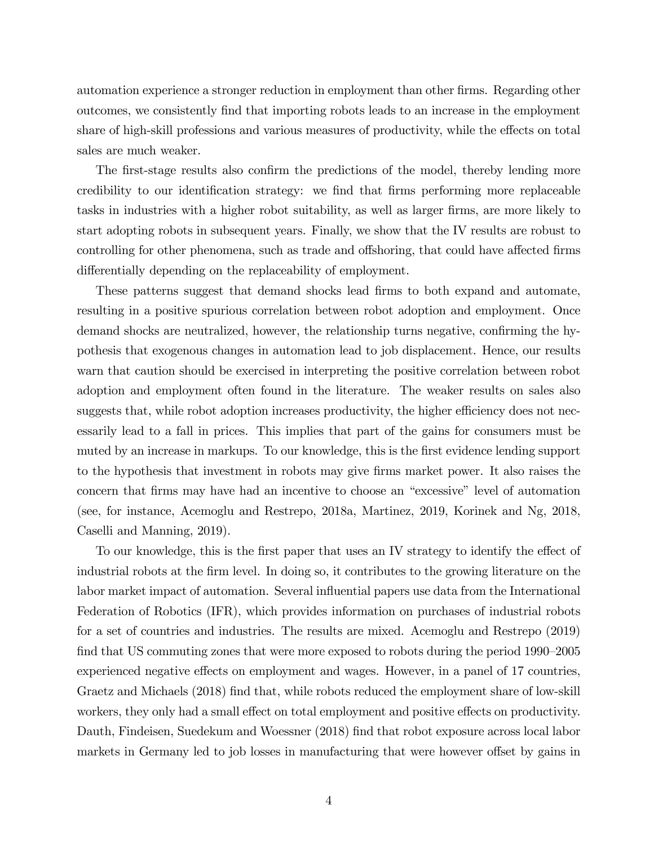automation experience a stronger reduction in employment than other firms. Regarding other outcomes, we consistently Önd that importing robots leads to an increase in the employment share of high-skill professions and various measures of productivity, while the effects on total sales are much weaker.

The first-stage results also confirm the predictions of the model, thereby lending more credibility to our identification strategy: we find that firms performing more replaceable tasks in industries with a higher robot suitability, as well as larger firms, are more likely to start adopting robots in subsequent years. Finally, we show that the IV results are robust to controlling for other phenomena, such as trade and offshoring, that could have affected firms differentially depending on the replaceability of employment.

These patterns suggest that demand shocks lead Örms to both expand and automate, resulting in a positive spurious correlation between robot adoption and employment. Once demand shocks are neutralized, however, the relationship turns negative, confirming the hypothesis that exogenous changes in automation lead to job displacement. Hence, our results warn that caution should be exercised in interpreting the positive correlation between robot adoption and employment often found in the literature. The weaker results on sales also suggests that, while robot adoption increases productivity, the higher efficiency does not necessarily lead to a fall in prices. This implies that part of the gains for consumers must be muted by an increase in markups. To our knowledge, this is the first evidence lending support to the hypothesis that investment in robots may give Örms market power. It also raises the concern that firms may have had an incentive to choose an "excessive" level of automation (see, for instance, Acemoglu and Restrepo, 2018a, Martinez, 2019, Korinek and Ng, 2018, Caselli and Manning, 2019).

To our knowledge, this is the first paper that uses an IV strategy to identify the effect of industrial robots at the firm level. In doing so, it contributes to the growing literature on the labor market impact of automation. Several influential papers use data from the International Federation of Robotics (IFR), which provides information on purchases of industrial robots for a set of countries and industries. The results are mixed. Acemoglu and Restrepo (2019) find that US commuting zones that were more exposed to robots during the period 1990–2005 experienced negative effects on employment and wages. However, in a panel of 17 countries, Graetz and Michaels (2018) find that, while robots reduced the employment share of low-skill workers, they only had a small effect on total employment and positive effects on productivity. Dauth, Findeisen, Suedekum and Woessner (2018) find that robot exposure across local labor markets in Germany led to job losses in manufacturing that were however offset by gains in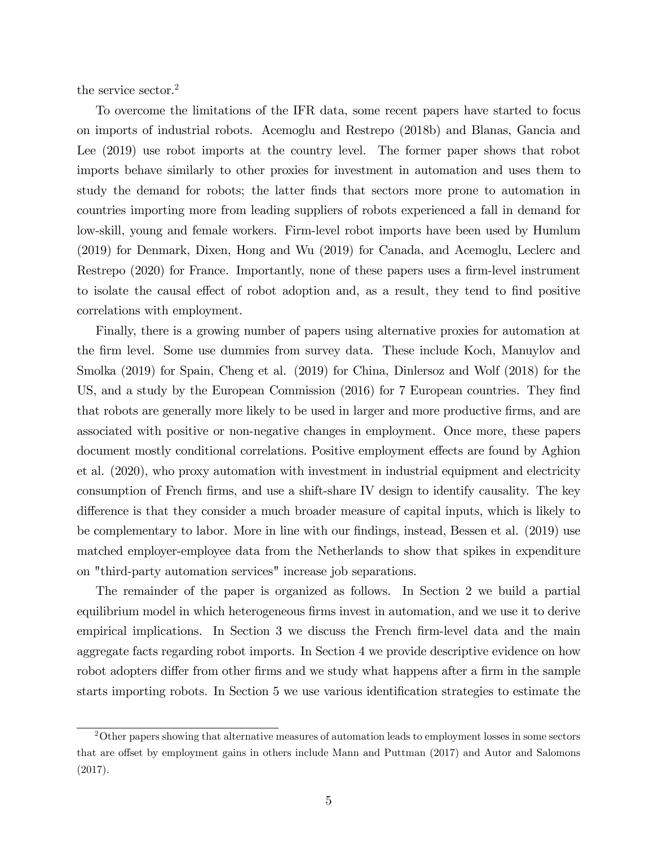the service sector.<sup>2</sup>

To overcome the limitations of the IFR data, some recent papers have started to focus on imports of industrial robots. Acemoglu and Restrepo (2018b) and Blanas, Gancia and Lee (2019) use robot imports at the country level. The former paper shows that robot imports behave similarly to other proxies for investment in automation and uses them to study the demand for robots; the latter Önds that sectors more prone to automation in countries importing more from leading suppliers of robots experienced a fall in demand for low-skill, young and female workers. Firm-level robot imports have been used by Humlum (2019) for Denmark, Dixen, Hong and Wu (2019) for Canada, and Acemoglu, Leclerc and Restrepo (2020) for France. Importantly, none of these papers uses a firm-level instrument to isolate the causal effect of robot adoption and, as a result, they tend to find positive correlations with employment.

Finally, there is a growing number of papers using alternative proxies for automation at the Örm level. Some use dummies from survey data. These include Koch, Manuylov and Smolka (2019) for Spain, Cheng et al. (2019) for China, Dinlersoz and Wolf (2018) for the US, and a study by the European Commission (2016) for 7 European countries. They find that robots are generally more likely to be used in larger and more productive firms, and are associated with positive or non-negative changes in employment. Once more, these papers document mostly conditional correlations. Positive employment effects are found by Aghion et al. (2020), who proxy automation with investment in industrial equipment and electricity consumption of French Örms, and use a shift-share IV design to identify causality. The key difference is that they consider a much broader measure of capital inputs, which is likely to be complementary to labor. More in line with our findings, instead, Bessen et al. (2019) use matched employer-employee data from the Netherlands to show that spikes in expenditure on "third-party automation services" increase job separations.

The remainder of the paper is organized as follows. In Section 2 we build a partial equilibrium model in which heterogeneous firms invest in automation, and we use it to derive empirical implications. In Section 3 we discuss the French firm-level data and the main aggregate facts regarding robot imports. In Section 4 we provide descriptive evidence on how robot adopters differ from other firms and we study what happens after a firm in the sample starts importing robots. In Section 5 we use various identification strategies to estimate the

<sup>2</sup>Other papers showing that alternative measures of automation leads to employment losses in some sectors that are offset by employment gains in others include Mann and Puttman (2017) and Autor and Salomons (2017).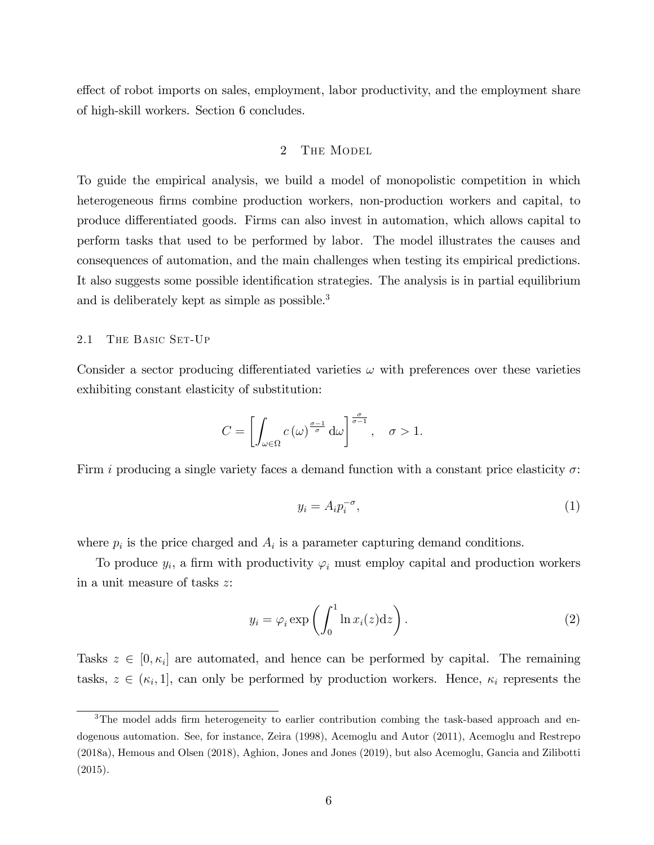effect of robot imports on sales, employment, labor productivity, and the employment share of high-skill workers. Section 6 concludes.

## 2 THE MODEL

To guide the empirical analysis, we build a model of monopolistic competition in which heterogeneous firms combine production workers, non-production workers and capital, to produce differentiated goods. Firms can also invest in automation, which allows capital to perform tasks that used to be performed by labor. The model illustrates the causes and consequences of automation, and the main challenges when testing its empirical predictions. It also suggests some possible identification strategies. The analysis is in partial equilibrium and is deliberately kept as simple as possible.<sup>3</sup>

#### 2.1 THE BASIC SET-UP

Consider a sector producing differentiated varieties  $\omega$  with preferences over these varieties exhibiting constant elasticity of substitution:

$$
C = \left[ \int_{\omega \in \Omega} c(\omega)^{\frac{\sigma - 1}{\sigma}} d\omega \right]^{\frac{\sigma}{\sigma - 1}}, \quad \sigma > 1.
$$

Firm i producing a single variety faces a demand function with a constant price elasticity  $\sigma$ :

$$
y_i = A_i p_i^{-\sigma},\tag{1}
$$

where  $p_i$  is the price charged and  $A_i$  is a parameter capturing demand conditions.

To produce  $y_i$ , a firm with productivity  $\varphi_i$  must employ capital and production workers in a unit measure of tasks z:

$$
y_i = \varphi_i \exp\left(\int_0^1 \ln x_i(z) dz\right).
$$
 (2)

Tasks  $z \in [0, \kappa_i]$  are automated, and hence can be performed by capital. The remaining tasks,  $z \in (\kappa_i, 1]$ , can only be performed by production workers. Hence,  $\kappa_i$  represents the

<sup>&</sup>lt;sup>3</sup>The model adds firm heterogeneity to earlier contribution combing the task-based approach and endogenous automation. See, for instance, Zeira (1998), Acemoglu and Autor (2011), Acemoglu and Restrepo (2018a), Hemous and Olsen (2018), Aghion, Jones and Jones (2019), but also Acemoglu, Gancia and Zilibotti (2015).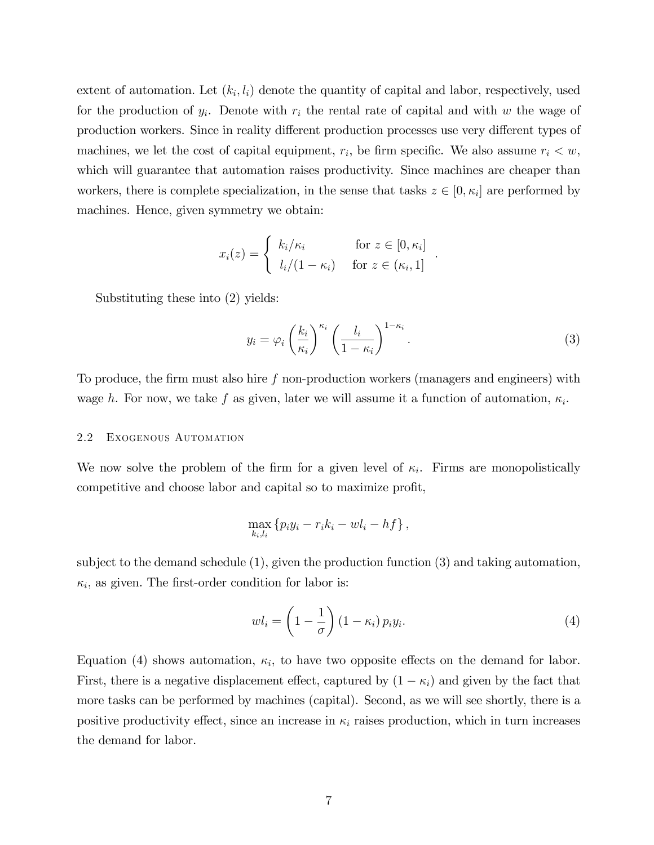extent of automation. Let  $(k_i, l_i)$  denote the quantity of capital and labor, respectively, used for the production of  $y_i$ . Denote with  $r_i$  the rental rate of capital and with w the wage of production workers. Since in reality different production processes use very different types of machines, we let the cost of capital equipment,  $r_i$ , be firm specific. We also assume  $r_i < w$ , which will guarantee that automation raises productivity. Since machines are cheaper than workers, there is complete specialization, in the sense that tasks  $z \in [0, \kappa_i]$  are performed by machines. Hence, given symmetry we obtain:

$$
x_i(z) = \begin{cases} k_i/\kappa_i & \text{for } z \in [0, \kappa_i] \\ l_i/(1 - \kappa_i) & \text{for } z \in (\kappa_i, 1] \end{cases}
$$

Substituting these into (2) yields:

$$
y_i = \varphi_i \left(\frac{k_i}{\kappa_i}\right)^{\kappa_i} \left(\frac{l_i}{1-\kappa_i}\right)^{1-\kappa_i}.
$$
 (3)

:

To produce, the firm must also hire  $f$  non-production workers (managers and engineers) with wage h. For now, we take f as given, later we will assume it a function of automation,  $\kappa_i$ .

#### 2.2 Exogenous Automation

We now solve the problem of the firm for a given level of  $\kappa_i$ . Firms are monopolistically competitive and choose labor and capital so to maximize profit,

$$
\max_{k_i,l_i} \left\{ p_i y_i - r_i k_i - w l_i - h f \right\},\,
$$

subject to the demand schedule (1), given the production function (3) and taking automation,  $\kappa_i$ , as given. The first-order condition for labor is:

$$
wl_i = \left(1 - \frac{1}{\sigma}\right)(1 - \kappa_i) p_i y_i.
$$
\n(4)

Equation (4) shows automation,  $\kappa_i$ , to have two opposite effects on the demand for labor. First, there is a negative displacement effect, captured by  $(1 - \kappa_i)$  and given by the fact that more tasks can be performed by machines (capital). Second, as we will see shortly, there is a positive productivity effect, since an increase in  $\kappa_i$  raises production, which in turn increases the demand for labor.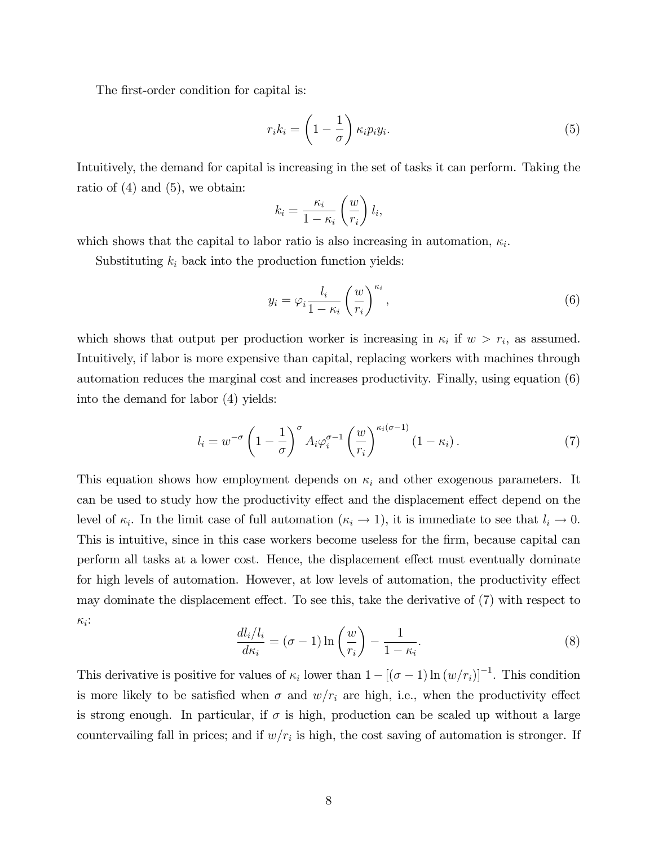The first-order condition for capital is:

$$
r_i k_i = \left(1 - \frac{1}{\sigma}\right) \kappa_i p_i y_i.
$$
\n<sup>(5)</sup>

Intuitively, the demand for capital is increasing in the set of tasks it can perform. Taking the ratio of  $(4)$  and  $(5)$ , we obtain:

$$
k_i = \frac{\kappa_i}{1 - \kappa_i} \left(\frac{w}{r_i}\right) l_i,
$$

which shows that the capital to labor ratio is also increasing in automation,  $\kappa_i$ .

Substituting  $k_i$  back into the production function yields:

$$
y_i = \varphi_i \frac{l_i}{1 - \kappa_i} \left(\frac{w}{r_i}\right)^{\kappa_i},\tag{6}
$$

which shows that output per production worker is increasing in  $\kappa_i$  if  $w > r_i$ , as assumed. Intuitively, if labor is more expensive than capital, replacing workers with machines through automation reduces the marginal cost and increases productivity. Finally, using equation (6) into the demand for labor (4) yields:

$$
l_i = w^{-\sigma} \left( 1 - \frac{1}{\sigma} \right)^{\sigma} A_i \varphi_i^{\sigma - 1} \left( \frac{w}{r_i} \right)^{\kappa_i (\sigma - 1)} (1 - \kappa_i). \tag{7}
$$

This equation shows how employment depends on  $\kappa_i$  and other exogenous parameters. It can be used to study how the productivity effect and the displacement effect depend on the level of  $\kappa_i$ . In the limit case of full automation  $(\kappa_i \to 1)$ , it is immediate to see that  $l_i \to 0$ . This is intuitive, since in this case workers become useless for the firm, because capital can perform all tasks at a lower cost. Hence, the displacement effect must eventually dominate for high levels of automation. However, at low levels of automation, the productivity effect may dominate the displacement effect. To see this, take the derivative of  $(7)$  with respect to  $\kappa_i$ :

$$
\frac{dl_i/l_i}{d\kappa_i} = (\sigma - 1)\ln\left(\frac{w}{r_i}\right) - \frac{1}{1 - \kappa_i}.\tag{8}
$$

This derivative is positive for values of  $\kappa_i$  lower than  $1 - [(\sigma - 1) \ln(w/r_i)]^{-1}$ . This condition is more likely to be satisfied when  $\sigma$  and  $w/r_i$  are high, i.e., when the productivity effect is strong enough. In particular, if  $\sigma$  is high, production can be scaled up without a large countervailing fall in prices; and if  $w/r_i$  is high, the cost saving of automation is stronger. If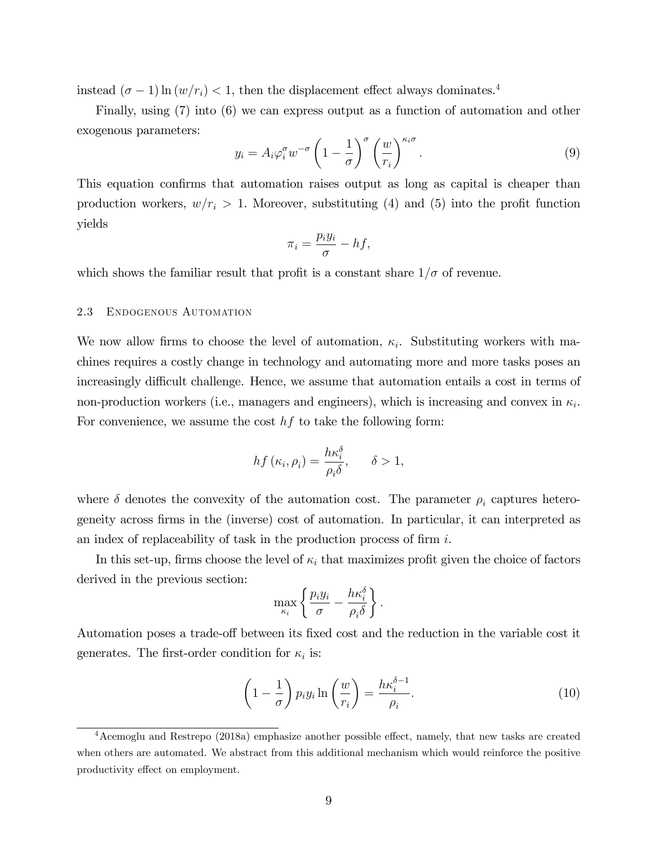instead  $(\sigma - 1) \ln (w/r_i) < 1$ , then the displacement effect always dominates.<sup>4</sup>

Finally, using (7) into (6) we can express output as a function of automation and other exogenous parameters:

$$
y_i = A_i \varphi_i^{\sigma} w^{-\sigma} \left( 1 - \frac{1}{\sigma} \right)^{\sigma} \left( \frac{w}{r_i} \right)^{\kappa_i \sigma}.
$$
 (9)

This equation confirms that automation raises output as long as capital is cheaper than production workers,  $w/r_i > 1$ . Moreover, substituting (4) and (5) into the profit function yields

$$
\pi_i = \frac{p_i y_i}{\sigma} - h f,
$$

which shows the familiar result that profit is a constant share  $1/\sigma$  of revenue.

#### 2.3 Endogenous Automation

We now allow firms to choose the level of automation,  $\kappa_i$ . Substituting workers with machines requires a costly change in technology and automating more and more tasks poses an increasingly difficult challenge. Hence, we assume that automation entails a cost in terms of non-production workers (i.e., managers and engineers), which is increasing and convex in  $\kappa_i$ . For convenience, we assume the cost  $hf$  to take the following form:

$$
hf\left(\kappa_i,\rho_i\right) = \frac{h\kappa_i^{\delta}}{\rho_i \delta}, \quad \delta > 1,
$$

where  $\delta$  denotes the convexity of the automation cost. The parameter  $\rho_i$  captures heterogeneity across Örms in the (inverse) cost of automation. In particular, it can interpreted as an index of replaceability of task in the production process of firm  $i$ .

In this set-up, firms choose the level of  $\kappa_i$  that maximizes profit given the choice of factors derived in the previous section:

$$
\max_{\kappa_i} \left\{ \frac{p_i y_i}{\sigma} - \frac{h \kappa_i^{\delta}}{\rho_i \delta} \right\}.
$$

Automation poses a trade-off between its fixed cost and the reduction in the variable cost it generates. The first-order condition for  $\kappa_i$  is:

$$
\left(1 - \frac{1}{\sigma}\right) p_i y_i \ln\left(\frac{w}{r_i}\right) = \frac{h\kappa_i^{\delta - 1}}{\rho_i}.
$$
\n(10)

 $4$ Acemoglu and Restrepo (2018a) emphasize another possible effect, namely, that new tasks are created when others are automated. We abstract from this additional mechanism which would reinforce the positive productivity effect on employment.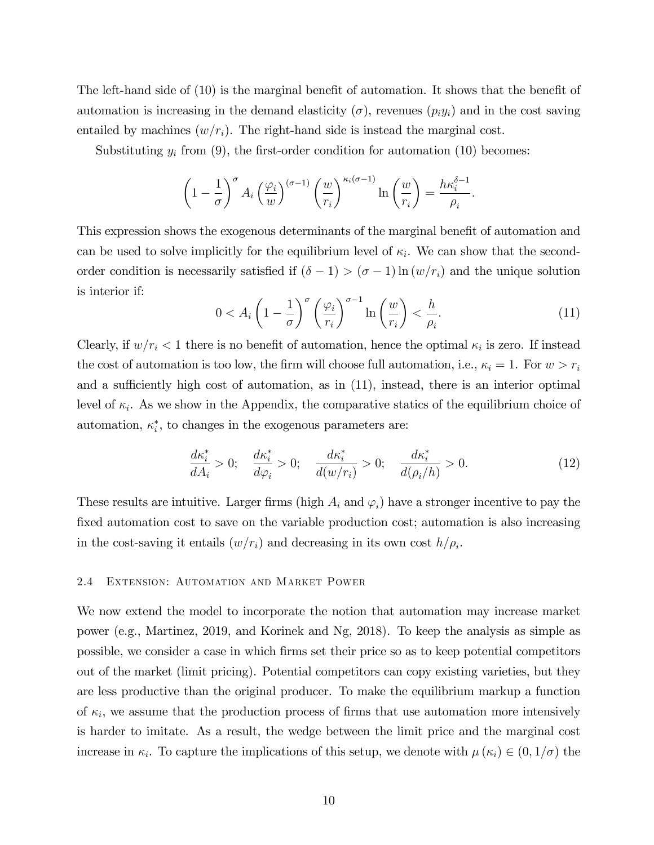The left-hand side of  $(10)$  is the marginal benefit of automation. It shows that the benefit of automation is increasing in the demand elasticity  $(\sigma)$ , revenues  $(p_i y_i)$  and in the cost saving entailed by machines  $(w/r_i)$ . The right-hand side is instead the marginal cost.

Substituting  $y_i$  from (9), the first-order condition for automation (10) becomes:

$$
\left(1-\frac{1}{\sigma}\right)^{\sigma} A_i \left(\frac{\varphi_i}{w}\right)^{(\sigma-1)} \left(\frac{w}{r_i}\right)^{\kappa_i(\sigma-1)} \ln\left(\frac{w}{r_i}\right) = \frac{h\kappa_i^{\delta-1}}{\rho_i}.
$$

This expression shows the exogenous determinants of the marginal benefit of automation and can be used to solve implicitly for the equilibrium level of  $\kappa_i$ . We can show that the secondorder condition is necessarily satisfied if  $(\delta - 1) > (\sigma - 1) \ln(w/r_i)$  and the unique solution is interior if:

$$
0 < A_i \left( 1 - \frac{1}{\sigma} \right)^{\sigma} \left( \frac{\varphi_i}{r_i} \right)^{\sigma - 1} \ln \left( \frac{w}{r_i} \right) < \frac{h}{\rho_i}.
$$
 (11)

Clearly, if  $w/r_i < 1$  there is no benefit of automation, hence the optimal  $\kappa_i$  is zero. If instead the cost of automation is too low, the firm will choose full automation, i.e.,  $\kappa_i = 1$ . For  $w > r_i$ and a sufficiently high cost of automation, as in  $(11)$ , instead, there is an interior optimal level of  $\kappa_i$ . As we show in the Appendix, the comparative statics of the equilibrium choice of automation,  $\kappa_i^*$ , to changes in the exogenous parameters are:

$$
\frac{d\kappa_i^*}{dA_i} > 0; \quad \frac{d\kappa_i^*}{d\varphi_i} > 0; \quad \frac{d\kappa_i^*}{d(w/r_i)} > 0; \quad \frac{d\kappa_i^*}{d(\rho_i/h)} > 0. \tag{12}
$$

These results are intuitive. Larger firms (high  $A_i$  and  $\varphi_i$ ) have a stronger incentive to pay the fixed automation cost to save on the variable production cost; automation is also increasing in the cost-saving it entails  $(w/r_i)$  and decreasing in its own cost  $h/\rho_i$ .

### 2.4 Extension: Automation and Market Power

We now extend the model to incorporate the notion that automation may increase market power (e.g., Martinez, 2019, and Korinek and Ng, 2018). To keep the analysis as simple as possible, we consider a case in which Örms set their price so as to keep potential competitors out of the market (limit pricing). Potential competitors can copy existing varieties, but they are less productive than the original producer. To make the equilibrium markup a function of  $\kappa_i$ , we assume that the production process of firms that use automation more intensively is harder to imitate. As a result, the wedge between the limit price and the marginal cost increase in  $\kappa_i$ . To capture the implications of this setup, we denote with  $\mu(\kappa_i) \in (0, 1/\sigma)$  the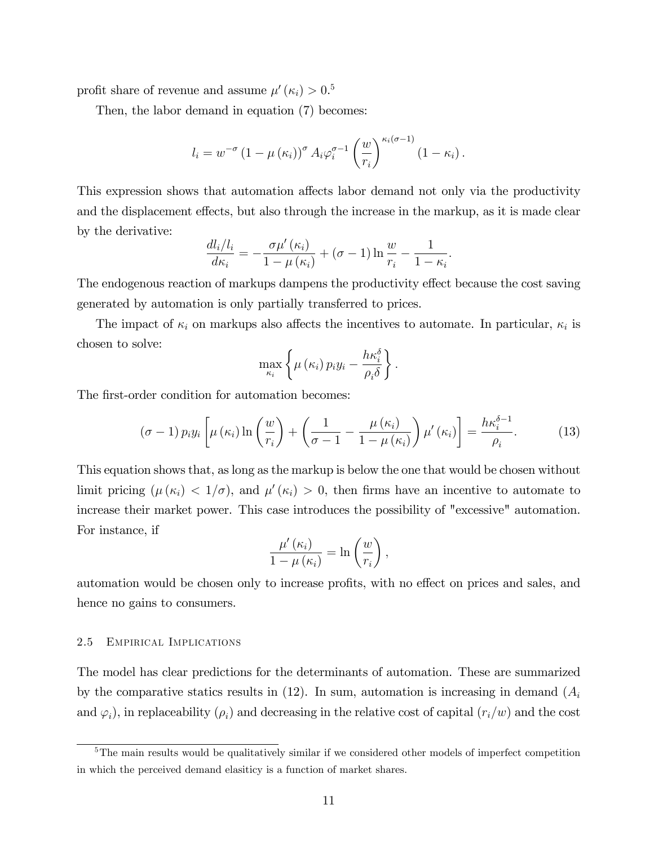profit share of revenue and assume  $\mu'(\kappa_i) > 0.5$ 

Then, the labor demand in equation (7) becomes:

$$
l_i = w^{-\sigma} (1 - \mu(\kappa_i))^{\sigma} A_i \varphi_i^{\sigma-1} \left(\frac{w}{r_i}\right)^{\kappa_i(\sigma-1)} (1 - \kappa_i).
$$

This expression shows that automation affects labor demand not only via the productivity and the displacement effects, but also through the increase in the markup, as it is made clear by the derivative:

$$
\frac{dl_i/l_i}{d\kappa_i} = -\frac{\sigma\mu'(\kappa_i)}{1-\mu(\kappa_i)} + (\sigma - 1)\ln\frac{w}{r_i} - \frac{1}{1-\kappa_i}.
$$

The endogenous reaction of markups dampens the productivity effect because the cost saving generated by automation is only partially transferred to prices.

The impact of  $\kappa_i$  on markups also affects the incentives to automate. In particular,  $\kappa_i$  is chosen to solve:

$$
\max_{\kappa_i} \left\{ \mu\left(\kappa_i\right) p_i y_i - \frac{h \kappa_i^{\delta}}{\rho_i \delta} \right\}.
$$

The first-order condition for automation becomes:

$$
(\sigma - 1) p_i y_i \left[ \mu(\kappa_i) \ln \left( \frac{w}{r_i} \right) + \left( \frac{1}{\sigma - 1} - \frac{\mu(\kappa_i)}{1 - \mu(\kappa_i)} \right) \mu'(\kappa_i) \right] = \frac{h \kappa_i^{\delta - 1}}{\rho_i}.
$$
 (13)

This equation shows that, as long as the markup is below the one that would be chosen without limit pricing  $(\mu(\kappa_i) < 1/\sigma)$ , and  $\mu'(\kappa_i) > 0$ , then firms have an incentive to automate to increase their market power. This case introduces the possibility of "excessive" automation. For instance, if

$$
\frac{\mu'( \kappa_i)}{1 - \mu( \kappa_i)} = \ln \left( \frac{w}{r_i} \right),
$$

automation would be chosen only to increase profits, with no effect on prices and sales, and hence no gains to consumers.

#### 2.5 Empirical Implications

The model has clear predictions for the determinants of automation. These are summarized by the comparative statics results in  $(12)$ . In sum, automation is increasing in demand  $(A_i)$ and  $\varphi_i$ ), in replaceability  $(\rho_i)$  and decreasing in the relative cost of capital  $(r_i/w)$  and the cost

<sup>&</sup>lt;sup>5</sup>The main results would be qualitatively similar if we considered other models of imperfect competition in which the perceived demand elasiticy is a function of market shares.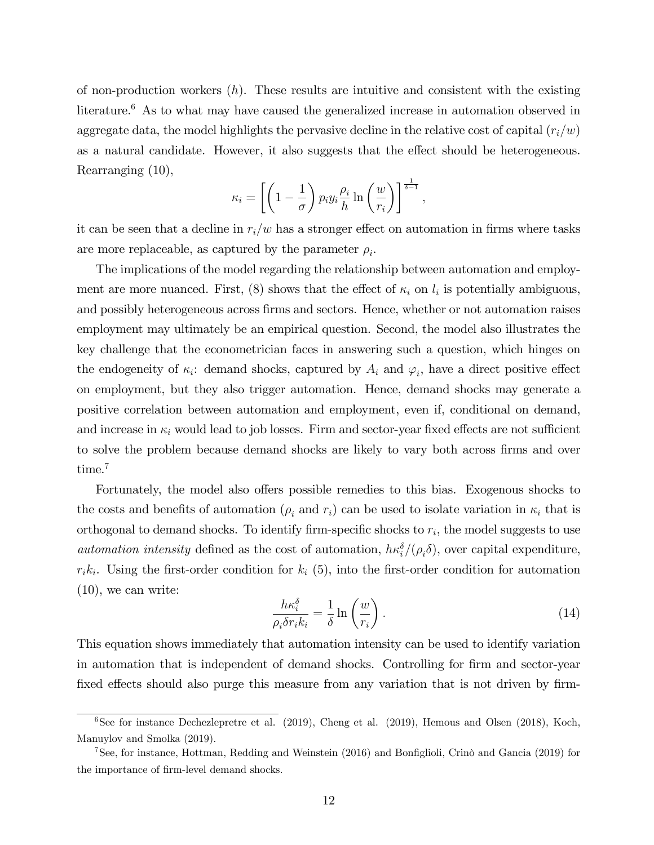of non-production workers  $(h)$ . These results are intuitive and consistent with the existing literature.<sup>6</sup> As to what may have caused the generalized increase in automation observed in aggregate data, the model highlights the pervasive decline in the relative cost of capital  $(r_i/w)$ as a natural candidate. However, it also suggests that the effect should be heterogeneous. Rearranging (10),

$$
\kappa_i = \left[ \left( 1 - \frac{1}{\sigma} \right) p_i y_i \frac{\rho_i}{h} \ln \left( \frac{w}{r_i} \right) \right]^{\frac{1}{\delta - 1}},
$$

it can be seen that a decline in  $r_i/w$  has a stronger effect on automation in firms where tasks are more replaceable, as captured by the parameter  $\rho_i$ .

The implications of the model regarding the relationship between automation and employment are more nuanced. First, (8) shows that the effect of  $\kappa_i$  on  $l_i$  is potentially ambiguous, and possibly heterogeneous across firms and sectors. Hence, whether or not automation raises employment may ultimately be an empirical question. Second, the model also illustrates the key challenge that the econometrician faces in answering such a question, which hinges on the endogeneity of  $\kappa_i$ : demand shocks, captured by  $A_i$  and  $\varphi_i$ , have a direct positive effect on employment, but they also trigger automation. Hence, demand shocks may generate a positive correlation between automation and employment, even if, conditional on demand, and increase in  $\kappa_i$  would lead to job losses. Firm and sector-year fixed effects are not sufficient to solve the problem because demand shocks are likely to vary both across firms and over time.<sup>7</sup>

Fortunately, the model also offers possible remedies to this bias. Exogenous shocks to the costs and benefits of automation ( $\rho_i$  and  $r_i$ ) can be used to isolate variation in  $\kappa_i$  that is orthogonal to demand shocks. To identify firm-specific shocks to  $r_i$ , the model suggests to use automation intensity defined as the cost of automation,  $h\kappa_i^{\delta}/(\rho_i\delta)$ , over capital expenditure,  $r_i k_i$ . Using the first-order condition for  $k_i$  (5), into the first-order condition for automation (10), we can write:

$$
\frac{h\kappa_i^{\delta}}{\rho_i \delta r_i k_i} = \frac{1}{\delta} \ln \left( \frac{w}{r_i} \right). \tag{14}
$$

This equation shows immediately that automation intensity can be used to identify variation in automation that is independent of demand shocks. Controlling for firm and sector-year fixed effects should also purge this measure from any variation that is not driven by firm-

 $6$ See for instance Dechezlepretre et al. (2019), Cheng et al. (2019), Hemous and Olsen (2018), Koch, Manuylov and Smolka (2019).

<sup>&</sup>lt;sup>7</sup>See, for instance, Hottman, Redding and Weinstein  $(2016)$  and Bonfiglioli, Crino and Gancia  $(2019)$  for the importance of firm-level demand shocks.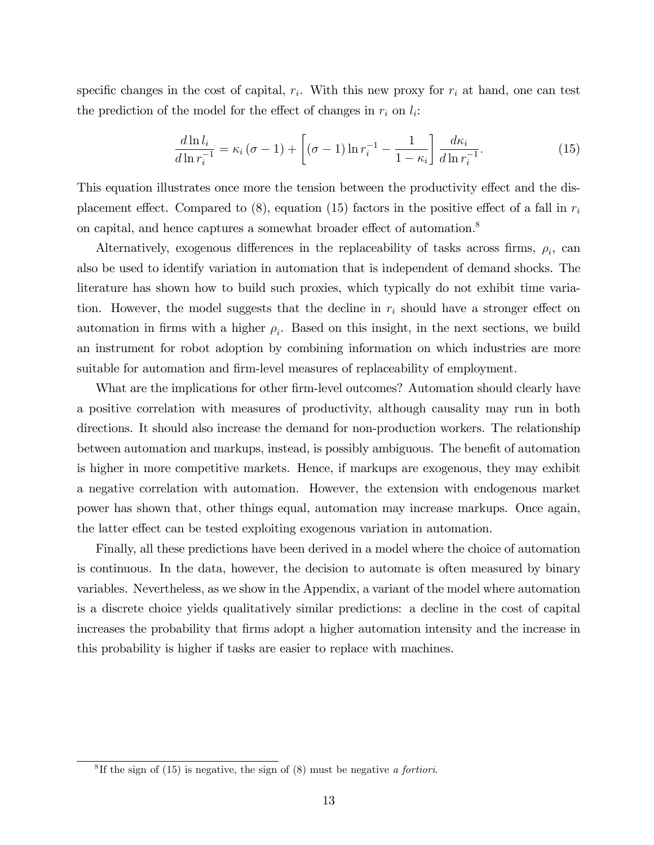specific changes in the cost of capital,  $r_i$ . With this new proxy for  $r_i$  at hand, one can test the prediction of the model for the effect of changes in  $r_i$  on  $l_i$ :

$$
\frac{d\ln l_i}{d\ln r_i^{-1}} = \kappa_i (\sigma - 1) + \left[ (\sigma - 1) \ln r_i^{-1} - \frac{1}{1 - \kappa_i} \right] \frac{d\kappa_i}{d\ln r_i^{-1}}.
$$
\n(15)

This equation illustrates once more the tension between the productivity effect and the displacement effect. Compared to  $(8)$ , equation (15) factors in the positive effect of a fall in  $r_i$ on capital, and hence captures a somewhat broader effect of automation.<sup>8</sup>

Alternatively, exogenous differences in the replaceability of tasks across firms,  $\rho_i$ , can also be used to identify variation in automation that is independent of demand shocks. The literature has shown how to build such proxies, which typically do not exhibit time variation. However, the model suggests that the decline in  $r_i$  should have a stronger effect on automation in firms with a higher  $\rho_i$ . Based on this insight, in the next sections, we build an instrument for robot adoption by combining information on which industries are more suitable for automation and firm-level measures of replaceability of employment.

What are the implications for other firm-level outcomes? Automation should clearly have a positive correlation with measures of productivity, although causality may run in both directions. It should also increase the demand for non-production workers. The relationship between automation and markups, instead, is possibly ambiguous. The benefit of automation is higher in more competitive markets. Hence, if markups are exogenous, they may exhibit a negative correlation with automation. However, the extension with endogenous market power has shown that, other things equal, automation may increase markups. Once again, the latter effect can be tested exploiting exogenous variation in automation.

Finally, all these predictions have been derived in a model where the choice of automation is continuous. In the data, however, the decision to automate is often measured by binary variables. Nevertheless, as we show in the Appendix, a variant of the model where automation is a discrete choice yields qualitatively similar predictions: a decline in the cost of capital increases the probability that firms adopt a higher automation intensity and the increase in this probability is higher if tasks are easier to replace with machines.

<sup>&</sup>lt;sup>8</sup>If the sign of (15) is negative, the sign of  $(8)$  must be negative *a fortiori*.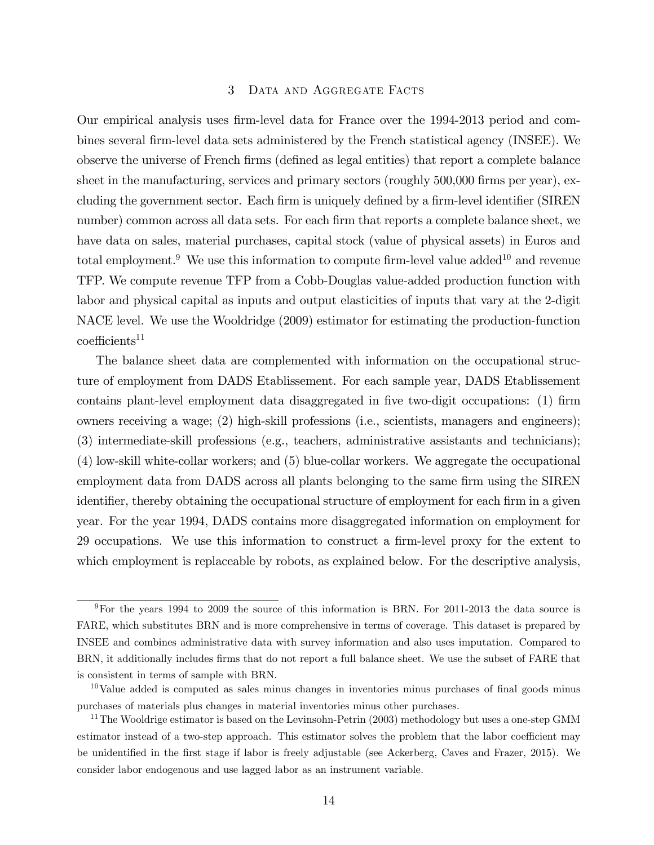# 3 Data and Aggregate Facts

Our empirical analysis uses Örm-level data for France over the 1994-2013 period and combines several Örm-level data sets administered by the French statistical agency (INSEE). We observe the universe of French Örms (deÖned as legal entities) that report a complete balance sheet in the manufacturing, services and primary sectors (roughly 500,000 firms per year), excluding the government sector. Each firm is uniquely defined by a firm-level identifier (SIREN number) common across all data sets. For each firm that reports a complete balance sheet, we have data on sales, material purchases, capital stock (value of physical assets) in Euros and total employment.<sup>9</sup> We use this information to compute firm-level value added<sup>10</sup> and revenue TFP. We compute revenue TFP from a Cobb-Douglas value-added production function with labor and physical capital as inputs and output elasticities of inputs that vary at the 2-digit NACE level. We use the Wooldridge (2009) estimator for estimating the production-function  $coefficients<sup>11</sup>$ 

The balance sheet data are complemented with information on the occupational structure of employment from DADS Etablissement. For each sample year, DADS Etablissement contains plant-level employment data disaggregated in five two-digit occupations: (1) firm owners receiving a wage; (2) high-skill professions (i.e., scientists, managers and engineers); (3) intermediate-skill professions (e.g., teachers, administrative assistants and technicians); (4) low-skill white-collar workers; and (5) blue-collar workers. We aggregate the occupational employment data from DADS across all plants belonging to the same firm using the SIREN identifier, thereby obtaining the occupational structure of employment for each firm in a given year. For the year 1994, DADS contains more disaggregated information on employment for 29 occupations. We use this information to construct a firm-level proxy for the extent to which employment is replaceable by robots, as explained below. For the descriptive analysis,

<sup>9</sup>For the years 1994 to 2009 the source of this information is BRN. For 2011-2013 the data source is FARE, which substitutes BRN and is more comprehensive in terms of coverage. This dataset is prepared by INSEE and combines administrative data with survey information and also uses imputation. Compared to BRN, it additionally includes firms that do not report a full balance sheet. We use the subset of FARE that is consistent in terms of sample with BRN.

 $10$ Value added is computed as sales minus changes in inventories minus purchases of final goods minus purchases of materials plus changes in material inventories minus other purchases.

<sup>&</sup>lt;sup>11</sup>The Wooldrige estimator is based on the Levinsohn-Petrin (2003) methodology but uses a one-step GMM estimator instead of a two-step approach. This estimator solves the problem that the labor coefficient may be unidentified in the first stage if labor is freely adjustable (see Ackerberg, Caves and Frazer, 2015). We consider labor endogenous and use lagged labor as an instrument variable.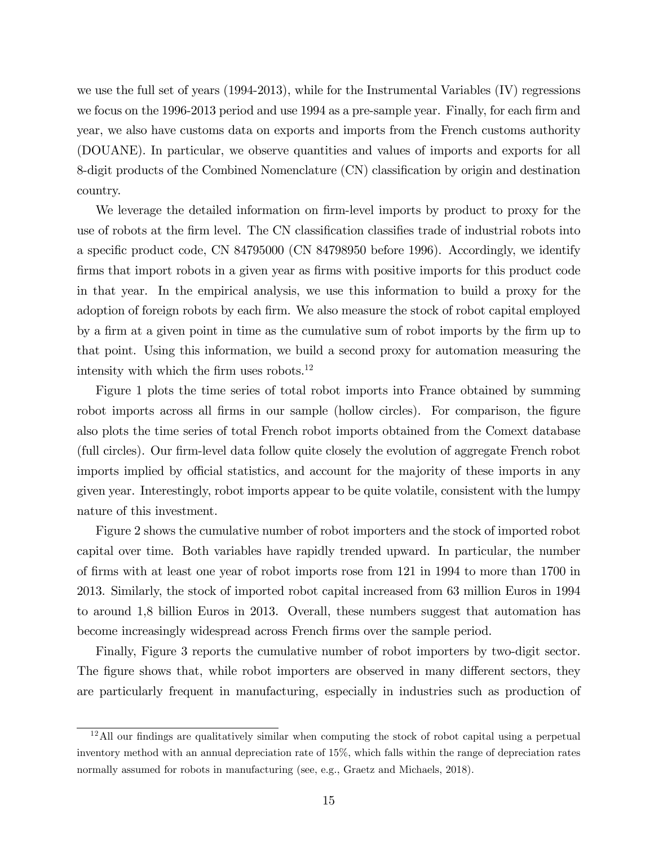we use the full set of years (1994-2013), while for the Instrumental Variables (IV) regressions we focus on the 1996-2013 period and use 1994 as a pre-sample year. Finally, for each firm and year, we also have customs data on exports and imports from the French customs authority (DOUANE). In particular, we observe quantities and values of imports and exports for all 8-digit products of the Combined Nomenclature (CN) classification by origin and destination country.

We leverage the detailed information on firm-level imports by product to proxy for the use of robots at the firm level. The CN classification classifies trade of industrial robots into a specific product code, CN 84795000 (CN 84798950 before 1996). Accordingly, we identify firms that import robots in a given year as firms with positive imports for this product code in that year. In the empirical analysis, we use this information to build a proxy for the adoption of foreign robots by each firm. We also measure the stock of robot capital employed by a Örm at a given point in time as the cumulative sum of robot imports by the Örm up to that point. Using this information, we build a second proxy for automation measuring the intensity with which the firm uses robots. $^{12}$ 

Figure 1 plots the time series of total robot imports into France obtained by summing robot imports across all firms in our sample (hollow circles). For comparison, the figure also plots the time series of total French robot imports obtained from the Comext database (full circles). Our Örm-level data follow quite closely the evolution of aggregate French robot imports implied by official statistics, and account for the majority of these imports in any given year. Interestingly, robot imports appear to be quite volatile, consistent with the lumpy nature of this investment.

Figure 2 shows the cumulative number of robot importers and the stock of imported robot capital over time. Both variables have rapidly trended upward. In particular, the number of Örms with at least one year of robot imports rose from 121 in 1994 to more than 1700 in 2013. Similarly, the stock of imported robot capital increased from 63 million Euros in 1994 to around 1,8 billion Euros in 2013. Overall, these numbers suggest that automation has become increasingly widespread across French firms over the sample period.

Finally, Figure 3 reports the cumulative number of robot importers by two-digit sector. The figure shows that, while robot importers are observed in many different sectors, they are particularly frequent in manufacturing, especially in industries such as production of

 $12$ All our findings are qualitatively similar when computing the stock of robot capital using a perpetual inventory method with an annual depreciation rate of 15%, which falls within the range of depreciation rates normally assumed for robots in manufacturing (see, e.g., Graetz and Michaels, 2018).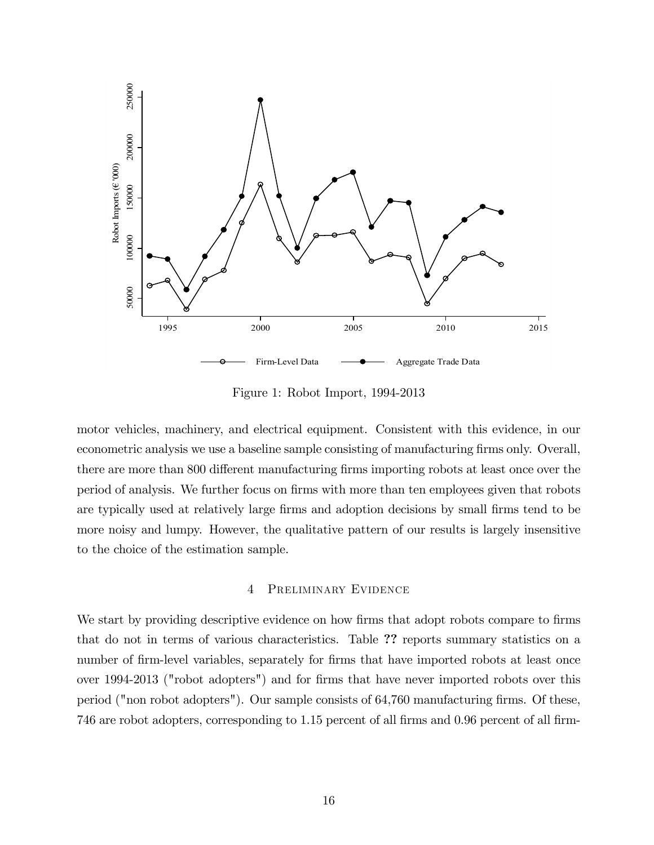

Figure 1: Robot Import, 1994-2013

motor vehicles, machinery, and electrical equipment. Consistent with this evidence, in our econometric analysis we use a baseline sample consisting of manufacturing firms only. Overall, there are more than 800 different manufacturing firms importing robots at least once over the period of analysis. We further focus on firms with more than ten employees given that robots are typically used at relatively large firms and adoption decisions by small firms tend to be more noisy and lumpy. However, the qualitative pattern of our results is largely insensitive to the choice of the estimation sample.

## 4 Preliminary Evidence

We start by providing descriptive evidence on how firms that adopt robots compare to firms that do not in terms of various characteristics. Table ?? reports summary statistics on a number of firm-level variables, separately for firms that have imported robots at least once over 1994-2013 ("robot adopters") and for firms that have never imported robots over this period ("non robot adopters"). Our sample consists of  $64,760$  manufacturing firms. Of these, 746 are robot adopters, corresponding to 1.15 percent of all firms and 0.96 percent of all firm-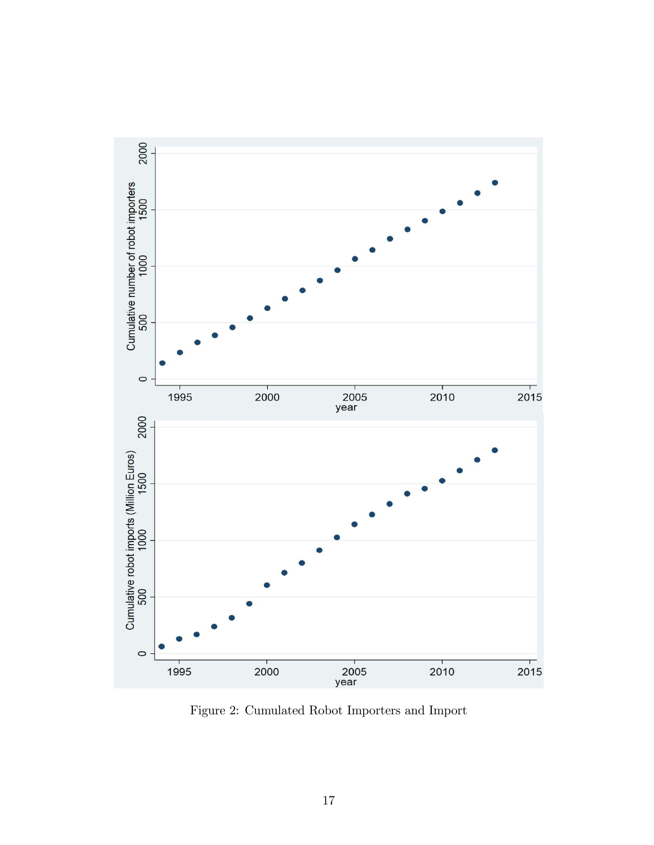

Figure 2: Cumulated Robot Importers and Import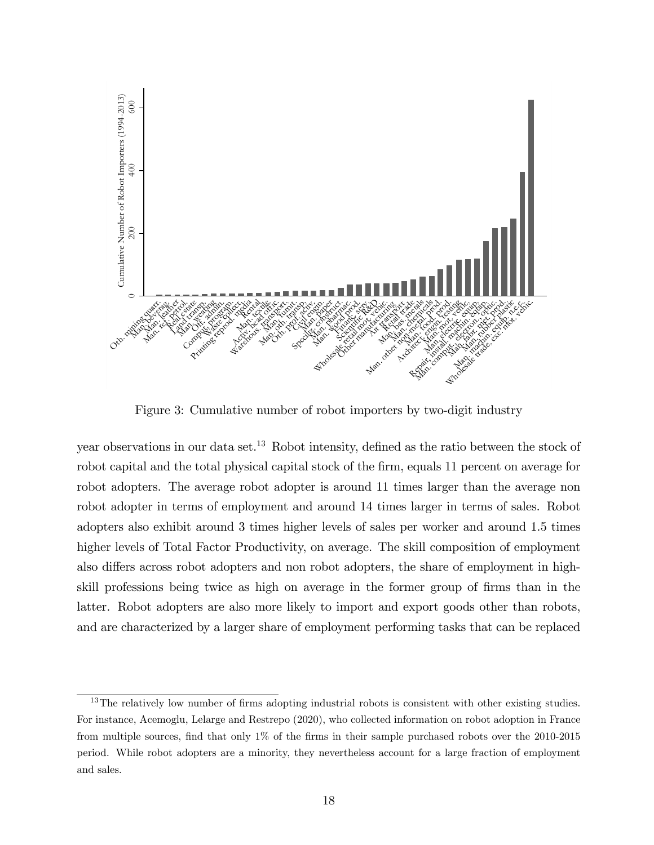

Figure 3: Cumulative number of robot importers by two-digit industry

year observations in our data set.<sup>13</sup> Robot intensity, defined as the ratio between the stock of robot capital and the total physical capital stock of the firm, equals 11 percent on average for robot adopters. The average robot adopter is around 11 times larger than the average non robot adopter in terms of employment and around 14 times larger in terms of sales. Robot adopters also exhibit around 3 times higher levels of sales per worker and around 1.5 times higher levels of Total Factor Productivity, on average. The skill composition of employment also differs across robot adopters and non robot adopters, the share of employment in highskill professions being twice as high on average in the former group of firms than in the latter. Robot adopters are also more likely to import and export goods other than robots, and are characterized by a larger share of employment performing tasks that can be replaced

 $13$ The relatively low number of firms adopting industrial robots is consistent with other existing studies. For instance, Acemoglu, Lelarge and Restrepo (2020), who collected information on robot adoption in France from multiple sources, find that only 1% of the firms in their sample purchased robots over the 2010-2015 period. While robot adopters are a minority, they nevertheless account for a large fraction of employment and sales.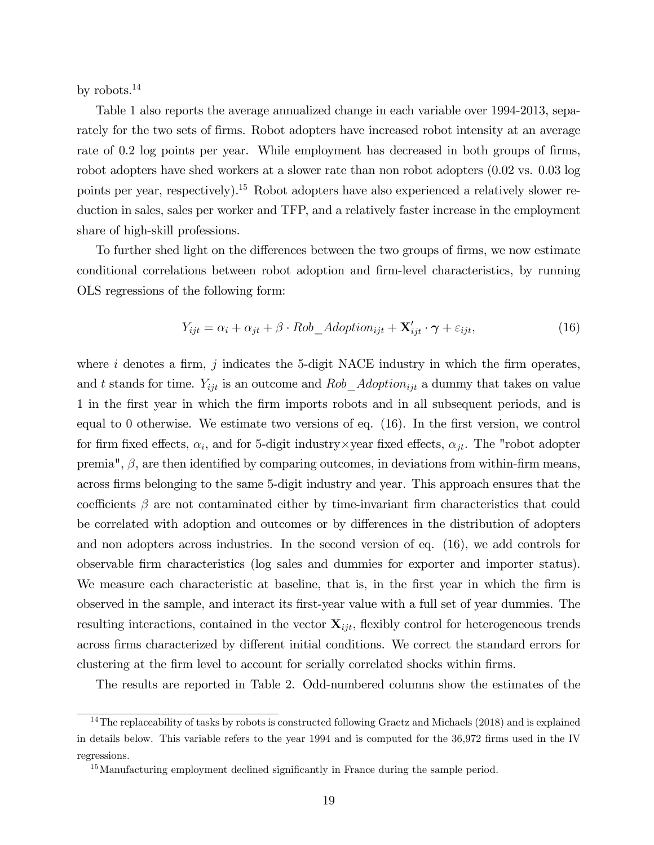by robots.<sup>14</sup>

Table 1 also reports the average annualized change in each variable over 1994-2013, separately for the two sets of firms. Robot adopters have increased robot intensity at an average rate of 0.2 log points per year. While employment has decreased in both groups of firms, robot adopters have shed workers at a slower rate than non robot adopters (0.02 vs. 0.03 log points per year, respectively).<sup>15</sup> Robot adopters have also experienced a relatively slower reduction in sales, sales per worker and TFP, and a relatively faster increase in the employment share of high-skill professions.

To further shed light on the differences between the two groups of firms, we now estimate conditional correlations between robot adoption and Örm-level characteristics, by running OLS regressions of the following form:

$$
Y_{ijt} = \alpha_i + \alpha_{jt} + \beta \cdot Rob\_Adoption_{ijt} + \mathbf{X}'_{ijt} \cdot \boldsymbol{\gamma} + \varepsilon_{ijt},\tag{16}
$$

where  $i$  denotes a firm,  $j$  indicates the 5-digit NACE industry in which the firm operates, and t stands for time.  $Y_{ijt}$  is an outcome and  $Rob\_Adoption_{ijt}$  a dummy that takes on value 1 in the Örst year in which the Örm imports robots and in all subsequent periods, and is equal to 0 otherwise. We estimate two versions of eq.  $(16)$ . In the first version, we control for firm fixed effects,  $\alpha_i$ , and for 5-digit industry×year fixed effects,  $\alpha_{jt}$ . The "robot adopter premia",  $\beta$ , are then identified by comparing outcomes, in deviations from within-firm means, across Örms belonging to the same 5-digit industry and year. This approach ensures that the coefficients  $\beta$  are not contaminated either by time-invariant firm characteristics that could be correlated with adoption and outcomes or by differences in the distribution of adopters and non adopters across industries. In the second version of eq. (16), we add controls for observable Örm characteristics (log sales and dummies for exporter and importer status). We measure each characteristic at baseline, that is, in the first year in which the firm is observed in the sample, and interact its Örst-year value with a full set of year dummies. The resulting interactions, contained in the vector  $\mathbf{X}_{ijt}$ , flexibly control for heterogeneous trends across firms characterized by different initial conditions. We correct the standard errors for clustering at the Örm level to account for serially correlated shocks within Örms.

The results are reported in Table 2. Odd-numbered columns show the estimates of the

 $14$ The replaceability of tasks by robots is constructed following Graetz and Michaels (2018) and is explained in details below. This variable refers to the year 1994 and is computed for the 36,972 firms used in the IV regressions.

 $15$ Manufacturing employment declined significantly in France during the sample period.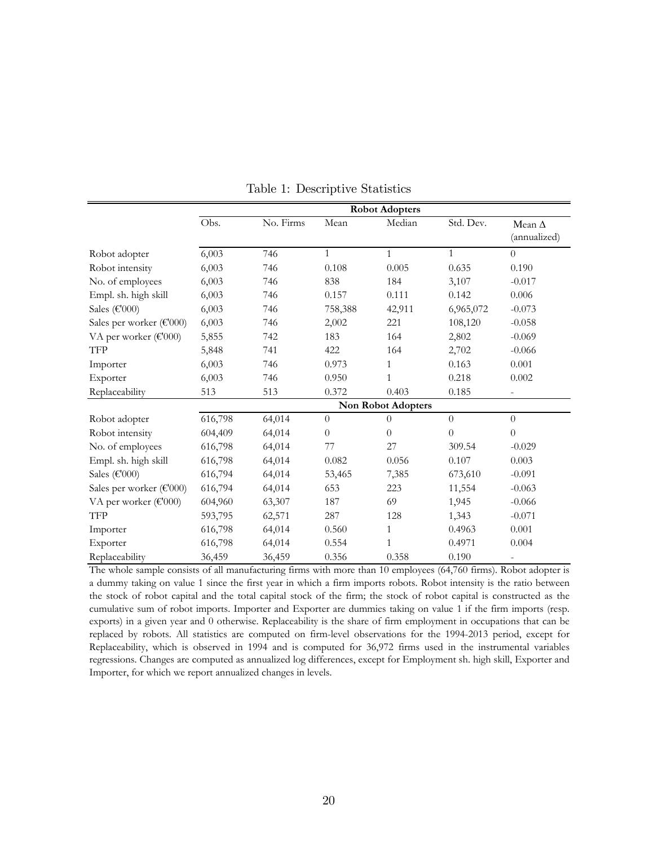|                          | <b>Robot Adopters</b>     |           |              |                |              |                               |  |
|--------------------------|---------------------------|-----------|--------------|----------------|--------------|-------------------------------|--|
|                          | Obs.                      | No. Firms | Mean         | Median         | Std. Dev.    | Mean $\Delta$<br>(annualized) |  |
| Robot adopter            | 6,003                     | 746       | $\mathbf{1}$ | $\mathbf{1}$   | $\mathbf{1}$ | $\theta$                      |  |
| Robot intensity          | 6,003                     | 746       | 0.108        | 0.005          | 0.635        | 0.190                         |  |
| No. of employees         | 6,003                     | 746       | 838          | 184            | 3,107        | $-0.017$                      |  |
| Empl. sh. high skill     | 6,003                     | 746       | 0.157        | 0.111          | 0.142        | 0.006                         |  |
| Sales (€'000)            | 6,003                     | 746       | 758,388      | 42,911         | 6,965,072    | $-0.073$                      |  |
| Sales per worker (€'000) | 6,003                     | 746       | 2,002        | 221            | 108,120      | $-0.058$                      |  |
| VA per worker (€'000)    | 5,855                     | 742       | 183          | 164            | 2,802        | $-0.069$                      |  |
| <b>TFP</b>               | 5,848                     | 741       | 422          | 164            | 2,702        | $-0.066$                      |  |
| Importer                 | 6,003                     | 746       | 0.973        | $\mathbf{1}$   | 0.163        | 0.001                         |  |
| Exporter                 | 6,003                     | 746       | 0.950        | 1              | 0.218        | 0.002                         |  |
| Replaceability           | 513                       | 513       | 0.372        | 0.403          | 0.185        |                               |  |
|                          | <b>Non Robot Adopters</b> |           |              |                |              |                               |  |
| Robot adopter            | 616,798                   | 64,014    | $\theta$     | $\Omega$       | $\theta$     | $\theta$                      |  |
| Robot intensity          | 604,409                   | 64,014    | $\theta$     | $\overline{0}$ | $\theta$     | $\theta$                      |  |
| No. of employees         | 616,798                   | 64,014    | 77           | 27             | 309.54       | $-0.029$                      |  |
| Empl. sh. high skill     | 616,798                   | 64,014    | 0.082        | 0.056          | 0.107        | 0.003                         |  |
| Sales (€'000)            | 616,794                   | 64,014    | 53,465       | 7,385          | 673,610      | $-0.091$                      |  |
| Sales per worker (€'000) | 616,794                   | 64,014    | 653          | 223            | 11,554       | $-0.063$                      |  |
| VA per worker (€'000)    | 604,960                   | 63,307    | 187          | 69             | 1,945        | $-0.066$                      |  |
| <b>TFP</b>               | 593,795                   | 62,571    | 287          | 128            | 1,343        | $-0.071$                      |  |
| Importer                 | 616,798                   | 64,014    | 0.560        | $\mathbf{1}$   | 0.4963       | 0.001                         |  |
| Exporter                 | 616,798                   | 64,014    | 0.554        | 1              | 0.4971       | 0.004                         |  |
| Replaceability           | 36,459                    | 36,459    | 0.356        | 0.358          | 0.190        |                               |  |

Table 1: Descriptive Statistics

The whole sample consists of all manufacturing firms with more than 10 employees (64,760 firms). Robot adopter is a dummy taking on value 1 since the first year in which a firm imports robots. Robot intensity is the ratio between the stock of robot capital and the total capital stock of the firm; the stock of robot capital is constructed as the cumulative sum of robot imports. Importer and Exporter are dummies taking on value 1 if the firm imports (resp. exports) in a given year and 0 otherwise. Replaceability is the share of firm employment in occupations that can be replaced by robots. All statistics are computed on firm-level observations for the 1994-2013 period, except for Replaceability, which is observed in 1994 and is computed for 36,972 firms used in the instrumental variables regressions. Changes are computed as annualized log differences, except for Employment sh. high skill, Exporter and Importer, for which we report annualized changes in levels.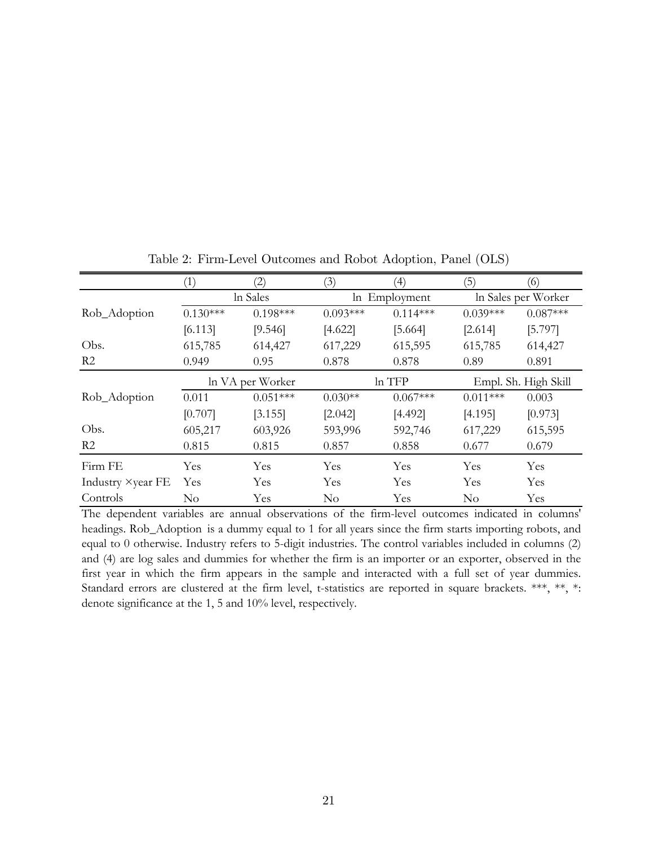|                   | $\left(1\right)$ | (2)              | (3)        | $\left( 4\right)$ | (5)                  | (6)                 |  |
|-------------------|------------------|------------------|------------|-------------------|----------------------|---------------------|--|
|                   | In Sales         |                  |            | In Employment     |                      | In Sales per Worker |  |
| Rob_Adoption      | $0.130***$       | $0.198***$       | $0.093***$ | $0.114***$        | $0.039***$           | $0.087***$          |  |
|                   | [6.113]          | [9.546]          | [4.622]    | [5.664]           | [2.614]              | [5.797]             |  |
| Obs.              | 615,785          | 614,427          | 617,229    | 615,595           | 615,785              | 614,427             |  |
| R <sub>2</sub>    | 0.949            | 0.95             | 0.878      | 0.878             | 0.89                 | 0.891               |  |
|                   |                  | In VA per Worker | ln TFP     |                   | Empl. Sh. High Skill |                     |  |
| Rob_Adoption      | 0.011            | $0.051***$       | $0.030**$  | $0.067***$        | $0.011***$           | 0.003               |  |
|                   | [0.707]          | [3.155]          | [2.042]    | [4.492]           | [4.195]              | [0.973]             |  |
| Obs.              | 605,217          | 603,926          | 593,996    | 592,746           | 617,229              | 615,595             |  |
| R <sub>2</sub>    | 0.815            | 0.815            | 0.857      | 0.858             | 0.677                | 0.679               |  |
| Firm FE           | Yes              | Yes              | Yes        | Yes               | Yes                  | Yes                 |  |
| Industry ×year FE | Yes              | Yes              | Yes        | Yes               | Yes                  | Yes                 |  |
| Controls          | $\rm No$         | Yes              | $\rm No$   | Yes               | $\rm No$             | Yes                 |  |

Table 2: Firm-Level Outcomes and Robot Adoption, Panel (OLS)

The dependent variables are annual observations of the firm-level outcomes indicated in columns' headings. Rob\_Adoption is a dummy equal to 1 for all years since the firm starts importing robots, and equal to 0 otherwise. Industry refers to 5-digit industries. The control variables included in columns (2) and (4) are log sales and dummies for whether the firm is an importer or an exporter, observed in the first year in which the firm appears in the sample and interacted with a full set of year dummies. Standard errors are clustered at the firm level, t-statistics are reported in square brackets. \*\*\*, \*\*, \*: denote significance at the 1, 5 and 10% level, respectively.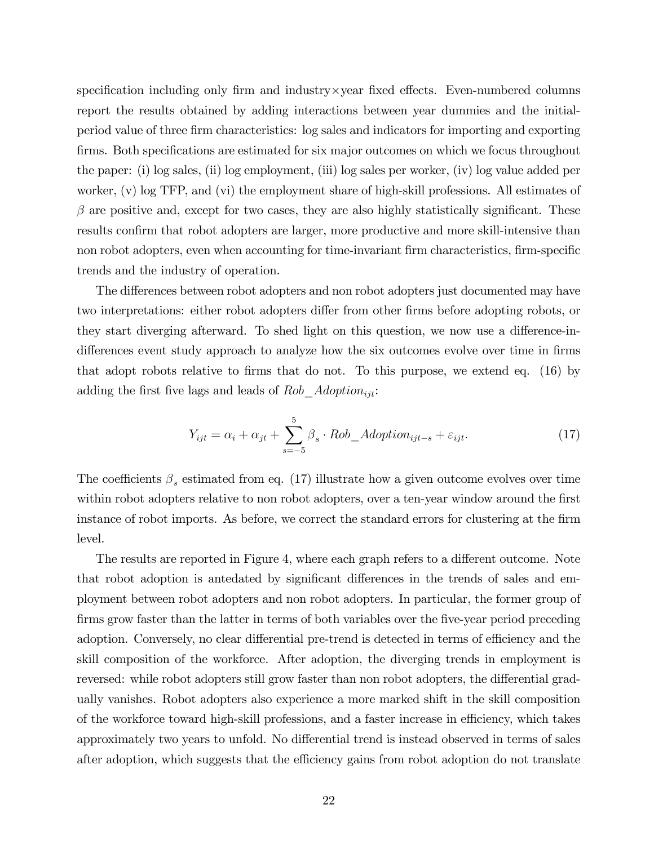specification including only firm and industry $\times$ year fixed effects. Even-numbered columns report the results obtained by adding interactions between year dummies and the initialperiod value of three Örm characteristics: log sales and indicators for importing and exporting firms. Both specifications are estimated for six major outcomes on which we focus throughout the paper: (i) log sales, (ii) log employment, (iii) log sales per worker, (iv) log value added per worker, (v) log TFP, and (vi) the employment share of high-skill professions. All estimates of  $\beta$  are positive and, except for two cases, they are also highly statistically significant. These results confirm that robot adopters are larger, more productive and more skill-intensive than non robot adopters, even when accounting for time-invariant firm characteristics, firm-specific trends and the industry of operation.

The differences between robot adopters and non robot adopters just documented may have two interpretations: either robot adopters differ from other firms before adopting robots, or they start diverging afterward. To shed light on this question, we now use a difference-indifferences event study approach to analyze how the six outcomes evolve over time in firms that adopt robots relative to firms that do not. To this purpose, we extend eq.  $(16)$  by adding the first five lags and leads of  $Rob\_Adoption_{ijt}:$ 

$$
Y_{ijt} = \alpha_i + \alpha_{jt} + \sum_{s=-5}^{5} \beta_s \cdot Rob\_Adoption_{ijt-s} + \varepsilon_{ijt}.
$$
 (17)

The coefficients  $\beta_s$  estimated from eq. (17) illustrate how a given outcome evolves over time within robot adopters relative to non robot adopters, over a ten-year window around the first instance of robot imports. As before, we correct the standard errors for clustering at the firm level.

The results are reported in Figure 4, where each graph refers to a different outcome. Note that robot adoption is antedated by significant differences in the trends of sales and employment between robot adopters and non robot adopters. In particular, the former group of firms grow faster than the latter in terms of both variables over the five-year period preceding adoption. Conversely, no clear differential pre-trend is detected in terms of efficiency and the skill composition of the workforce. After adoption, the diverging trends in employment is reversed: while robot adopters still grow faster than non robot adopters, the differential gradually vanishes. Robot adopters also experience a more marked shift in the skill composition of the workforce toward high-skill professions, and a faster increase in efficiency, which takes approximately two years to unfold. No differential trend is instead observed in terms of sales after adoption, which suggests that the efficiency gains from robot adoption do not translate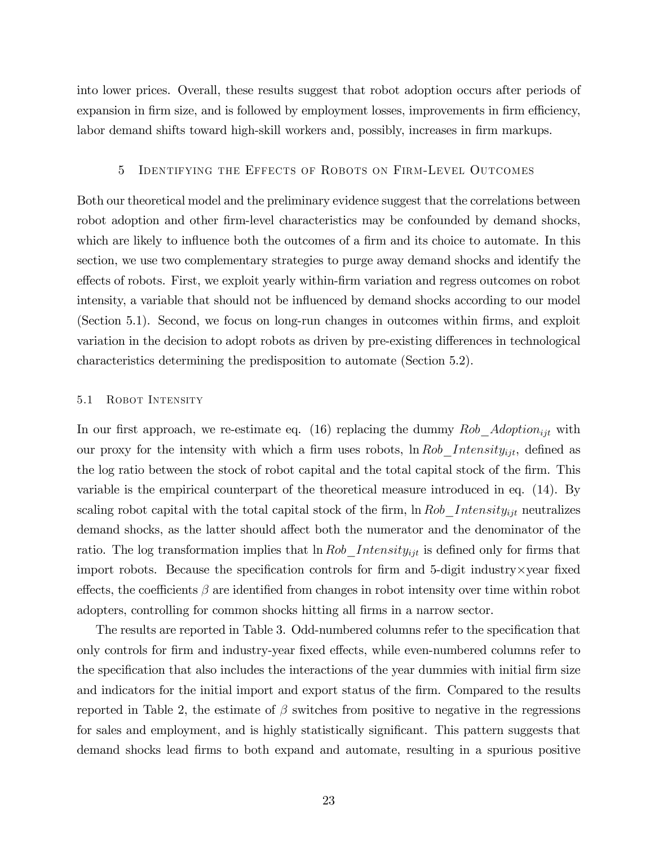into lower prices. Overall, these results suggest that robot adoption occurs after periods of expansion in firm size, and is followed by employment losses, improvements in firm efficiency, labor demand shifts toward high-skill workers and, possibly, increases in firm markups.

# 5 Identifying the Effects of Robots on Firm-Level Outcomes

Both our theoretical model and the preliminary evidence suggest that the correlations between robot adoption and other firm-level characteristics may be confounded by demand shocks, which are likely to influence both the outcomes of a firm and its choice to automate. In this section, we use two complementary strategies to purge away demand shocks and identify the effects of robots. First, we exploit yearly within-firm variation and regress outcomes on robot intensity, a variable that should not be influenced by demand shocks according to our model (Section 5.1). Second, we focus on long-run changes in outcomes within Örms, and exploit variation in the decision to adopt robots as driven by pre-existing differences in technological characteristics determining the predisposition to automate (Section 5.2).

## 5.1 Robot Intensity

In our first approach, we re-estimate eq. (16) replacing the dummy Rob Adoption<sub>ijt</sub> with our proxy for the intensity with which a firm uses robots,  $\ln Rob\_Intensity_{ijt}$ , defined as the log ratio between the stock of robot capital and the total capital stock of the firm. This variable is the empirical counterpart of the theoretical measure introduced in eq. (14). By scaling robot capital with the total capital stock of the firm,  $\ln Rob$  Intensity<sub>ijt</sub> neutralizes demand shocks, as the latter should affect both the numerator and the denominator of the ratio. The log transformation implies that  $\ln Rob\_Intensity_{ijt}$  is defined only for firms that import robots. Because the specification controls for firm and 5-digit industry $\times$ year fixed effects, the coefficients  $\beta$  are identified from changes in robot intensity over time within robot adopters, controlling for common shocks hitting all firms in a narrow sector.

The results are reported in Table 3. Odd-numbered columns refer to the specification that only controls for firm and industry-year fixed effects, while even-numbered columns refer to the specification that also includes the interactions of the year dummies with initial firm size and indicators for the initial import and export status of the firm. Compared to the results reported in Table 2, the estimate of  $\beta$  switches from positive to negative in the regressions for sales and employment, and is highly statistically significant. This pattern suggests that demand shocks lead Örms to both expand and automate, resulting in a spurious positive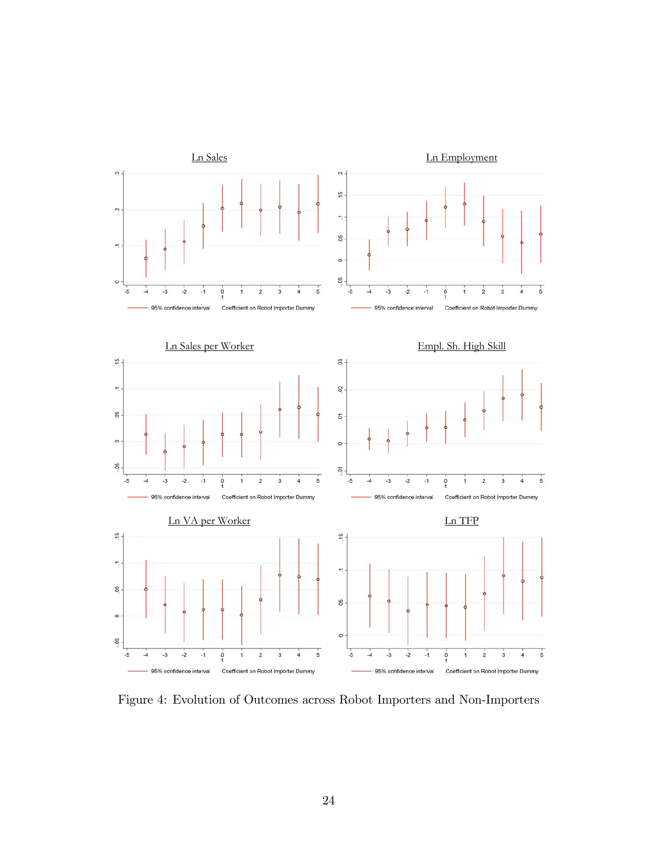

Figure 4: Evolution of Outcomes across Robot Importers and Non-Importers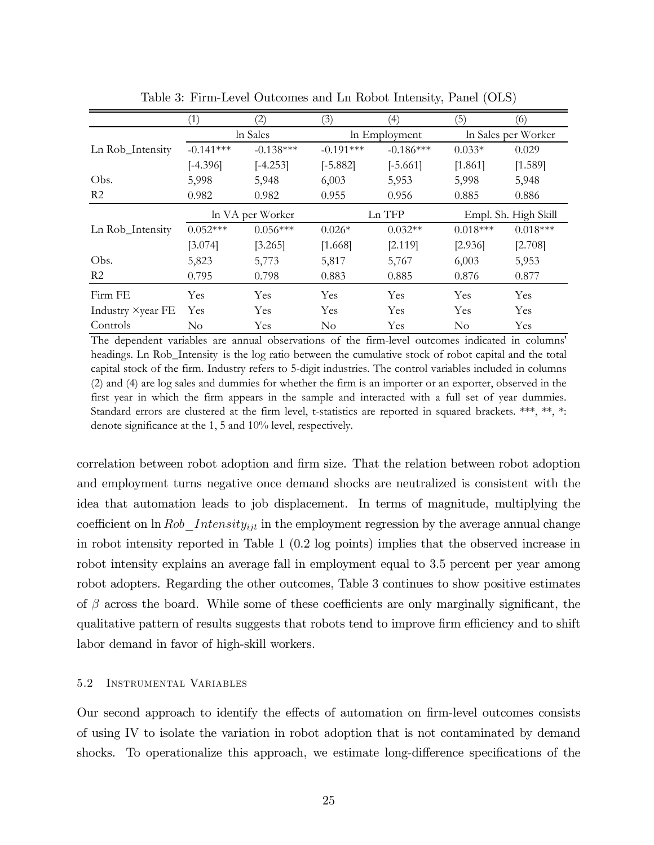|                   | (1)         | (2)              | (3)           | (4)         | (5)                  | (6)        |
|-------------------|-------------|------------------|---------------|-------------|----------------------|------------|
|                   | ln Sales    |                  | In Employment |             | In Sales per Worker  |            |
| Ln Rob_Intensity  | $-0.141***$ | $-0.138***$      | $-0.191***$   | $-0.186***$ | $0.033*$             | 0.029      |
|                   | $[-4.396]$  | $[-4.253]$       | $[-5.882]$    | $[-5.661]$  | [1.861]              | [1.589]    |
| Obs.              | 5,998       | 5,948            | 6,003         | 5,953       | 5,998                | 5,948      |
| R2                | 0.982       | 0.982            | 0.955         | 0.956       | 0.885                | 0.886      |
|                   |             | ln VA per Worker | Ln TFP        |             | Empl. Sh. High Skill |            |
| Ln Rob_Intensity  | $0.052***$  | $0.056***$       | $0.026*$      | $0.032**$   | $0.018***$           | $0.018***$ |
|                   | [3.074]     | [3.265]          | [1.668]       | [2.119]     | [2.936]              | [2.708]    |
| Obs.              | 5,823       | 5,773            | 5,817         | 5,767       | 6,003                | 5,953      |
| R <sub>2</sub>    | 0.795       | 0.798            | 0.883         | 0.885       | 0.876                | 0.877      |
| Firm FE           | Yes         | Yes              | Yes           | Yes         | Yes                  | Yes        |
| Industry ×year FE | Yes         | <b>Yes</b>       | <b>Yes</b>    | Yes         | Yes                  | Yes        |
| Controls          | $\rm No$    | Yes              | $\rm No$      | Yes         | $\rm No$             | Yes        |

Table 3: Firm-Level Outcomes and Ln Robot Intensity, Panel (OLS)

The dependent variables are annual observations of the firm-level outcomes indicated in columns' headings. Ln Rob\_Intensity is the log ratio between the cumulative stock of robot capital and the total capital stock of the firm. Industry refers to 5-digit industries. The control variables included in columns (2) and (4) are log sales and dummies for whether the firm is an importer or an exporter, observed in the first year in which the firm appears in the sample and interacted with a full set of year dummies. Standard errors are clustered at the firm level, t-statistics are reported in squared brackets. \*\*\*, \*\*, \*: denote significance at the 1, 5 and 10% level, respectively.

correlation between robot adoption and Örm size. That the relation between robot adoption and employment turns negative once demand shocks are neutralized is consistent with the idea that automation leads to job displacement. In terms of magnitude, multiplying the coefficient on  $\ln Rob_$ Intensity<sub>ijt</sub> in the employment regression by the average annual change in robot intensity reported in Table 1 (0.2 log points) implies that the observed increase in robot intensity explains an average fall in employment equal to 3.5 percent per year among robot adopters. Regarding the other outcomes, Table 3 continues to show positive estimates of  $\beta$  across the board. While some of these coefficients are only marginally significant, the qualitative pattern of results suggests that robots tend to improve firm efficiency and to shift labor demand in favor of high-skill workers.

## 5.2 Instrumental Variables

Our second approach to identify the effects of automation on firm-level outcomes consists of using IV to isolate the variation in robot adoption that is not contaminated by demand shocks. To operationalize this approach, we estimate long-difference specifications of the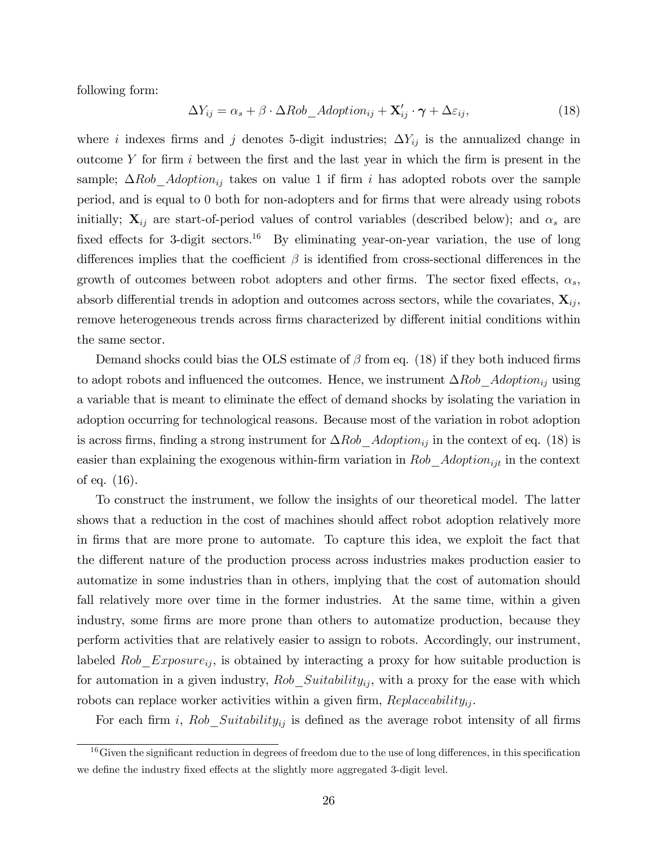following form:

$$
\Delta Y_{ij} = \alpha_s + \beta \cdot \Delta Rob\_Adoption_{ij} + \mathbf{X}'_{ij} \cdot \boldsymbol{\gamma} + \Delta \varepsilon_{ij},\tag{18}
$$

where i indexes firms and j denotes 5-digit industries;  $\Delta Y_{ij}$  is the annualized change in outcome  $Y$  for firm i between the first and the last year in which the firm is present in the sample;  $\Delta Rob\_Adoption_{ij}$  takes on value 1 if firm i has adopted robots over the sample period, and is equal to 0 both for non-adopters and for Örms that were already using robots initially;  $X_{ij}$  are start-of-period values of control variables (described below); and  $\alpha_s$  are fixed effects for 3-digit sectors.<sup>16</sup> By eliminating year-on-year variation, the use of long differences implies that the coefficient  $\beta$  is identified from cross-sectional differences in the growth of outcomes between robot adopters and other firms. The sector fixed effects,  $\alpha_s$ , absorb differential trends in adoption and outcomes across sectors, while the covariates,  $\mathbf{X}_{ij}$ , remove heterogeneous trends across firms characterized by different initial conditions within the same sector.

Demand shocks could bias the OLS estimate of  $\beta$  from eq. (18) if they both induced firms to adopt robots and influenced the outcomes. Hence, we instrument  $\Delta Rob\_Adoption_{ij}$  using a variable that is meant to eliminate the effect of demand shocks by isolating the variation in adoption occurring for technological reasons. Because most of the variation in robot adoption is across firms, finding a strong instrument for  $\Delta Rob$  Adoption<sub>ij</sub> in the context of eq. (18) is easier than explaining the exogenous within-firm variation in  $Rob\_Adoption_{ijt}$  in the context of eq. (16).

To construct the instrument, we follow the insights of our theoretical model. The latter shows that a reduction in the cost of machines should affect robot adoption relatively more in Örms that are more prone to automate. To capture this idea, we exploit the fact that the different nature of the production process across industries makes production easier to automatize in some industries than in others, implying that the cost of automation should fall relatively more over time in the former industries. At the same time, within a given industry, some firms are more prone than others to automatize production, because they perform activities that are relatively easier to assign to robots. Accordingly, our instrument, labeled  $Rob\_Exposure_{ij}$ , is obtained by interacting a proxy for how suitable production is for automation in a given industry,  $Rob\_Suitability_{ij}$ , with a proxy for the ease with which robots can replace worker activities within a given firm,  $Replaceability_{ij}$ .

For each firm i,  $Rob\_Suitability_{ij}$  is defined as the average robot intensity of all firms

 $16$  Given the significant reduction in degrees of freedom due to the use of long differences, in this specification we define the industry fixed effects at the slightly more aggregated 3-digit level.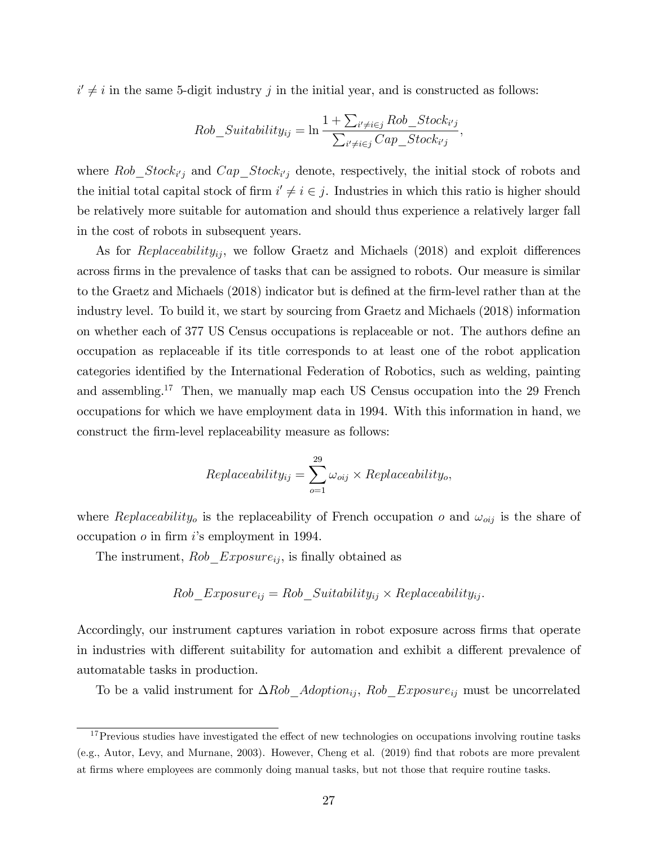$i' \neq i$  in the same 5-digit industry j in the initial year, and is constructed as follows:

$$
Rob\_Suitability_{ij} = \ln \frac{1 + \sum_{i' \neq i \in j} Rob\_Stock_{i'j}}{\sum_{i' \neq i \in j} Cap\_Stock_{i'j}},
$$

where  $Rob\_Stock_{i'j}$  and  $Cap\_Stock_{i'j}$  denote, respectively, the initial stock of robots and the initial total capital stock of firm  $i' \neq i \in j$ . Industries in which this ratio is higher should be relatively more suitable for automation and should thus experience a relatively larger fall in the cost of robots in subsequent years.

As for  $Replaceability_{ij}$ , we follow Graetz and Michaels (2018) and exploit differences across firms in the prevalence of tasks that can be assigned to robots. Our measure is similar to the Graetz and Michaels (2018) indicator but is defined at the firm-level rather than at the industry level. To build it, we start by sourcing from Graetz and Michaels (2018) information on whether each of 377 US Census occupations is replaceable or not. The authors define an occupation as replaceable if its title corresponds to at least one of the robot application categories identified by the International Federation of Robotics, such as welding, painting and assembling.<sup>17</sup> Then, we manually map each US Census occupation into the 29 French occupations for which we have employment data in 1994. With this information in hand, we construct the firm-level replaceability measure as follows:

$$
Replaceability_{ij} = \sum_{o=1}^{29} \omega_{oij} \times Replaceability_o,
$$

where Replaceability<sub>o</sub> is the replaceability of French occupation o and  $\omega_{oij}$  is the share of occupation  $\sigma$  in firm is employment in 1994.

The instrument,  $Rob\;Exposure_{ij}$ , is finally obtained as

$$
Rob\_Exposure_{ij} = Rob\_Suitability_{ij} \times Replaceability_{ij}.
$$

Accordingly, our instrument captures variation in robot exposure across firms that operate in industries with different suitability for automation and exhibit a different prevalence of automatable tasks in production.

To be a valid instrument for  $\Delta Rob\_Adoption_{ij}$ ,  $Rob\_Exposure_{ij}$  must be uncorrelated

 $17$ Previous studies have investigated the effect of new technologies on occupations involving routine tasks (e.g., Autor, Levy, and Murnane, 2003). However, Cheng et al. (2019) find that robots are more prevalent at Örms where employees are commonly doing manual tasks, but not those that require routine tasks.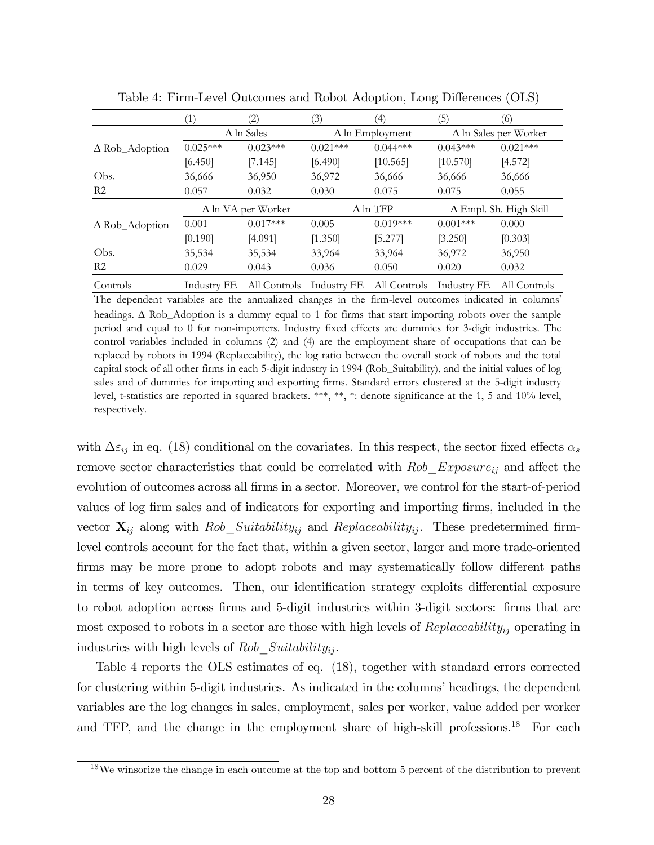|                       | (1)                       | $\left( 2\right)$ | (3)                    | (4)        | (5)                                                           | (6)          |
|-----------------------|---------------------------|-------------------|------------------------|------------|---------------------------------------------------------------|--------------|
|                       | $\Delta$ ln Sales         |                   | $\Delta$ ln Employment |            | $\Delta$ ln Sales per Worker                                  |              |
| $\Delta$ Rob_Adoption | $0.025***$                | $0.023***$        | $0.021***$             | $0.044***$ | $0.043***$                                                    | $0.021***$   |
|                       | [6.450]                   | [7.145]           | [6.490]                | [10.565]   | [10.570]                                                      | [4.572]      |
| Obs.                  | 36,666                    | 36,950            | 36,972                 | 36,666     | 36,666                                                        | 36,666       |
| R <sub>2</sub>        | 0.057                     | 0.032             | 0.030                  | 0.075      | 0.075                                                         | 0.055        |
|                       | $\Delta$ ln VA per Worker |                   | $\Delta$ ln TFP        |            | $\Delta$ Empl. Sh. High Skill                                 |              |
| $\Delta$ Rob_Adoption | 0.001                     | $0.017***$        | 0.005                  | $0.019***$ | $0.001***$                                                    | 0.000        |
|                       | [0.190]                   | [4.091]           | [1.350]                | [5.277]    | [3.250]                                                       | [0.303]      |
| Obs.                  | 35,534                    | 35,534            | 33,964                 | 33,964     | 36,972                                                        | 36,950       |
| R <sub>2</sub>        | 0.029                     | 0.043             | 0.036                  | 0.050      | 0.020                                                         | 0.032        |
| Controls              |                           |                   |                        |            | Industry FE All Controls Industry FE All Controls Industry FE | All Controls |

Table 4: Firm-Level Outcomes and Robot Adoption, Long Differences (OLS)

The dependent variables are the annualized changes in the firm-level outcomes indicated in columns' headings.  $\Delta$  Rob\_Adoption is a dummy equal to 1 for firms that start importing robots over the sample period and equal to 0 for non-importers. Industry fixed effects are dummies for 3-digit industries. The control variables included in columns (2) and (4) are the employment share of occupations that can be replaced by robots in 1994 (Replaceability), the log ratio between the overall stock of robots and the total capital stock of all other firms in each 5-digit industry in 1994 (Rob\_Suitability), and the initial values of log sales and of dummies for importing and exporting firms. Standard errors clustered at the 5-digit industry level, t-statistics are reported in squared brackets. \*\*\*, \*\*, \*: denote significance at the 1, 5 and 10% level, respectively.

with  $\Delta \varepsilon_{ij}$  in eq. (18) conditional on the covariates. In this respect, the sector fixed effects  $\alpha_s$ remove sector characteristics that could be correlated with  $Rob\_Exposure_{ij}$  and affect the evolution of outcomes across all firms in a sector. Moreover, we control for the start-of-period values of log firm sales and of indicators for exporting and importing firms, included in the vector  $\mathbf{X}_{ij}$  along with Rob\_Suitability<sub>ij</sub> and Replaceability<sub>ij</sub>. These predetermined firmlevel controls account for the fact that, within a given sector, larger and more trade-oriented firms may be more prone to adopt robots and may systematically follow different paths in terms of key outcomes. Then, our identification strategy exploits differential exposure to robot adoption across firms and 5-digit industries within 3-digit sectors: firms that are most exposed to robots in a sector are those with high levels of  $Replaceability_{ij}$  operating in industries with high levels of  $Rob\_Suitability_{ij}$ .

Table 4 reports the OLS estimates of eq. (18), together with standard errors corrected for clustering within 5-digit industries. As indicated in the columns' headings, the dependent variables are the log changes in sales, employment, sales per worker, value added per worker and TFP, and the change in the employment share of high-skill professions.<sup>18</sup> For each

<sup>18</sup>We winsorize the change in each outcome at the top and bottom 5 percent of the distribution to prevent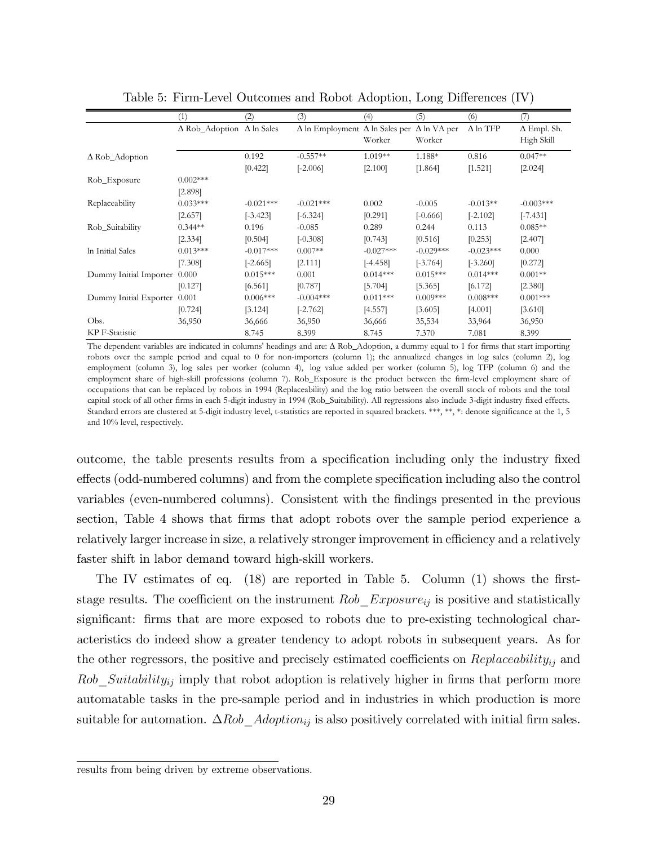|                              | (1)                                     | (2)         | (3)                                          | (4)         | (5)                | (6)             | 7                  |
|------------------------------|-----------------------------------------|-------------|----------------------------------------------|-------------|--------------------|-----------------|--------------------|
|                              | $\Delta$ Rob_Adoption $\Delta$ ln Sales |             | $\Delta$ ln Employment $\Delta$ ln Sales per |             | $\Delta$ ln VA per | $\Delta$ ln TFP | $\Delta$ Empl. Sh. |
|                              |                                         |             |                                              | Worker      | Worker             |                 | High Skill         |
| $\Delta$ Rob_Adoption        |                                         | 0.192       | $-0.557**$                                   | $1.019**$   | 1.188*             | 0.816           | $0.047**$          |
|                              |                                         | [0.422]     | $[-2.006]$                                   | [2.100]     | [1.864]            | [1.521]         | [2.024]            |
| Rob_Exposure                 | $0.002***$                              |             |                                              |             |                    |                 |                    |
|                              | [2.898]                                 |             |                                              |             |                    |                 |                    |
| Replaceability               | $0.033***$                              | $-0.021***$ | $-0.021***$                                  | 0.002       | $-0.005$           | $-0.013**$      | $-0.003***$        |
|                              | [2.657]                                 | $[-3.423]$  | $[-6.324]$                                   | [0.291]     | $[-0.666]$         | $[-2.102]$      | $[-7.431]$         |
| Rob_Suitability              | $0.344**$                               | 0.196       | $-0.085$                                     | 0.289       | 0.244              | 0.113           | $0.085**$          |
|                              | [2.334]                                 | [0.504]     | $[-0.308]$                                   | [0.743]     | [0.516]            | [0.253]         | [2.407]            |
| In Initial Sales             | $0.013***$                              | $-0.017***$ | $0.007**$                                    | $-0.027***$ | $-0.029***$        | $-0.023***$     | 0.000              |
|                              | [7.308]                                 | $[-2.665]$  | [2.111]                                      | $[-4.458]$  | $[-3.764]$         | $[-3.260]$      | [0.272]            |
| Dummy Initial Importer 0.000 |                                         | $0.015***$  | 0.001                                        | $0.014***$  | $0.015***$         | $0.014***$      | $0.001**$          |
|                              | [0.127]                                 | [6.561]     | [0.787]                                      | [5.704]     | [5.365]            | [6.172]         | [2.380]            |
| Dummy Initial Exporter 0.001 |                                         | $0.006***$  | $-0.004***$                                  | $0.011***$  | $0.009***$         | $0.008***$      | $0.001***$         |
|                              | [0.724]                                 | [3.124]     | $[-2.762]$                                   | [4.557]     | [3.605]            | [4.001]         | [3.610]            |
| Obs.                         | 36,950                                  | 36,666      | 36,950                                       | 36,666      | 35,534             | 33,964          | 36,950             |
| KP F-Statistic               |                                         | 8.745       | 8.399                                        | 8.745       | 7.370              | 7.081           | 8.399              |

Table 5: Firm-Level Outcomes and Robot Adoption, Long Differences (IV)

The dependent variables are indicated in columns' headings and are:  $\Delta$  Rob\_Adoption, a dummy equal to 1 for firms that start importing robots over the sample period and equal to 0 for non-importers (column 1); the annualized changes in log sales (column 2), log employment (column 3), log sales per worker (column 4), log value added per worker (column 5), log TFP (column 6) and the employment share of high-skill professions (column 7). Rob\_Exposure is the product between the firm-level employment share of occupations that can be replaced by robots in 1994 (Replaceability) and the log ratio between the overall stock of robots and the total capital stock of all other firms in each 5-digit industry in 1994 (Rob\_Suitability). All regressions also include 3-digit industry fixed effects. Standard errors are clustered at 5-digit industry level, t-statistics are reported in squared brackets. \*\*\*, \*\*, \*: denote significance at the 1, 5 and 10% level, respectively.

outcome, the table presents results from a specification including only the industry fixed effects (odd-numbered columns) and from the complete specification including also the control variables (even-numbered columns). Consistent with the findings presented in the previous section, Table 4 shows that firms that adopt robots over the sample period experience a relatively larger increase in size, a relatively stronger improvement in efficiency and a relatively faster shift in labor demand toward high-skill workers.

The IV estimates of eq.  $(18)$  are reported in Table 5. Column  $(1)$  shows the firststage results. The coefficient on the instrument  $Rob\;Exposure_{ij}$  is positive and statistically significant: firms that are more exposed to robots due to pre-existing technological characteristics do indeed show a greater tendency to adopt robots in subsequent years. As for the other regressors, the positive and precisely estimated coefficients on  $Replaceability_{ij}$  and  $Rob\_Suitability_{ij}$  imply that robot adoption is relatively higher in firms that perform more automatable tasks in the pre-sample period and in industries in which production is more suitable for automation.  $\Delta Rob\_Adoption_{ij}$  is also positively correlated with initial firm sales.

results from being driven by extreme observations.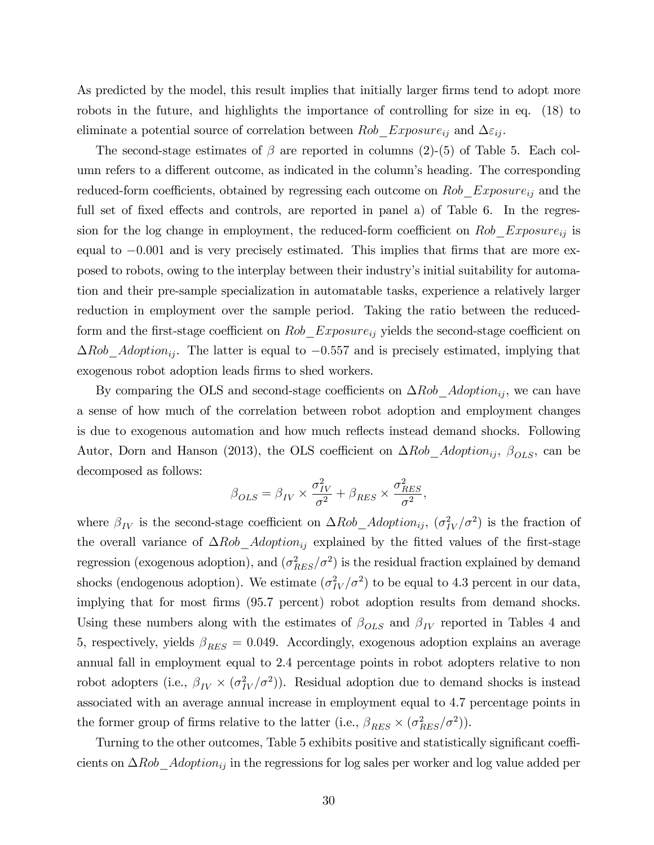As predicted by the model, this result implies that initially larger firms tend to adopt more robots in the future, and highlights the importance of controlling for size in eq. (18) to eliminate a potential source of correlation between  $Rob\_Exposure_{ij}$  and  $\Delta \varepsilon_{ij}$ .

The second-stage estimates of  $\beta$  are reported in columns (2)-(5) of Table 5. Each column refers to a different outcome, as indicated in the column's heading. The corresponding reduced-form coefficients, obtained by regressing each outcome on  $Rob\_Exposure_{ij}$  and the full set of fixed effects and controls, are reported in panel a) of Table 6. In the regression for the log change in employment, the reduced-form coefficient on  $Rob\_Exposure_{ij}$  is equal to  $-0.001$  and is very precisely estimated. This implies that firms that are more exposed to robots, owing to the interplay between their industryís initial suitability for automation and their pre-sample specialization in automatable tasks, experience a relatively larger reduction in employment over the sample period. Taking the ratio between the reducedform and the first-stage coefficient on  $Rob\_Exposure_{ij}$  yields the second-stage coefficient on  $\Delta Rob\_Adoption_{ij}$ . The latter is equal to  $-0.557$  and is precisely estimated, implying that exogenous robot adoption leads firms to shed workers.

By comparing the OLS and second-stage coefficients on  $\Delta Rob\_Adoption_{ij}$ , we can have a sense of how much of the correlation between robot adoption and employment changes is due to exogenous automation and how much reflects instead demand shocks. Following Autor, Dorn and Hanson (2013), the OLS coefficient on  $\Delta Rob\_Adoption_{ij}$ ,  $\beta_{OLS}$ , can be decomposed as follows:

$$
\beta_{OLS} = \beta_{IV} \times \frac{\sigma_{IV}^2}{\sigma^2} + \beta_{RES} \times \frac{\sigma_{RES}^2}{\sigma^2},
$$

where  $\beta_{IV}$  is the second-stage coefficient on  $\Delta Rob\_Adoption_{ij}$ ,  $(\sigma_{IV}^2/\sigma^2)$  is the fraction of the overall variance of  $\Delta Rob$  Adoption<sub>ij</sub> explained by the fitted values of the first-stage regression (exogenous adoption), and  $(\sigma_{RES}^2/\sigma^2)$  is the residual fraction explained by demand shocks (endogenous adoption). We estimate  $(\sigma_{IV}^2/\sigma^2)$  to be equal to 4.3 percent in our data, implying that for most firms (95.7 percent) robot adoption results from demand shocks. Using these numbers along with the estimates of  $\beta_{OLS}$  and  $\beta_{IV}$  reported in Tables 4 and 5, respectively, yields  $\beta_{RES} = 0.049$ . Accordingly, exogenous adoption explains an average annual fall in employment equal to 2.4 percentage points in robot adopters relative to non robot adopters (i.e.,  $\beta_{IV} \times (\sigma_{IV}^2/\sigma^2)$ ). Residual adoption due to demand shocks is instead associated with an average annual increase in employment equal to 4.7 percentage points in the former group of firms relative to the latter (i.e.,  $\beta_{RES} \times (\sigma_{RES}^2/\sigma^2)$ ).

Turning to the other outcomes, Table 5 exhibits positive and statistically significant coefficients on  $\Delta Rob\_Adoption_{ij}$  in the regressions for log sales per worker and log value added per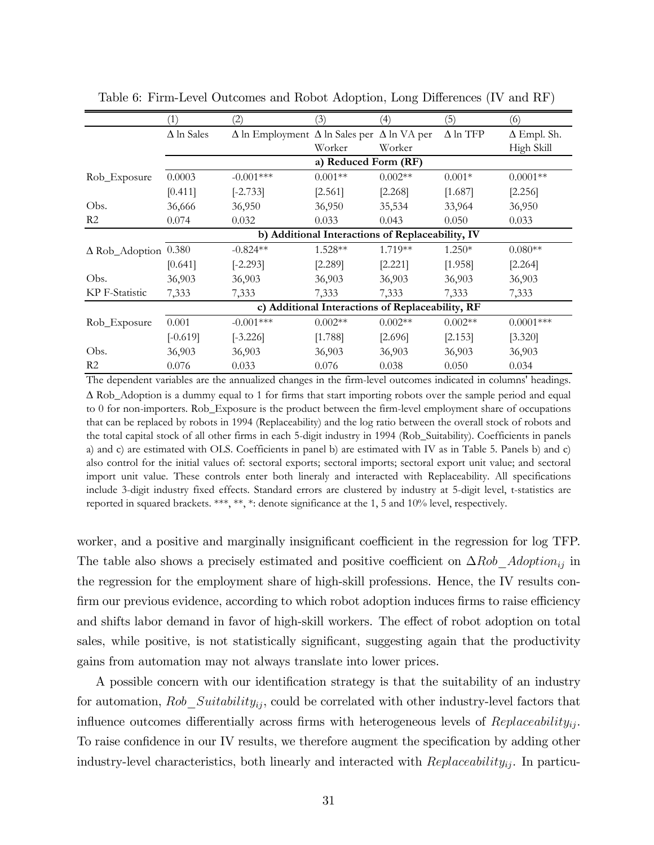|                             | (1)                                              | (2)                                                             | (3)                  | (4)       | (5)             | (6)                |  |
|-----------------------------|--------------------------------------------------|-----------------------------------------------------------------|----------------------|-----------|-----------------|--------------------|--|
|                             | $\Delta$ ln Sales                                | $\Delta$ ln Employment $\Delta$ ln Sales per $\Delta$ ln VA per |                      |           | $\Delta$ ln TFP | $\Delta$ Empl. Sh. |  |
|                             |                                                  |                                                                 | Worker               | Worker    |                 | High Skill         |  |
|                             |                                                  |                                                                 | a) Reduced Form (RF) |           |                 |                    |  |
| Rob_Exposure                | 0.0003                                           | $-0.001***$                                                     | $0.001**$            | $0.002**$ | $0.001*$        | $0.0001**$         |  |
|                             | [0.411]                                          | $[-2.733]$                                                      | [2.561]              | [2.268]   | [1.687]         | [2.256]            |  |
| Obs.                        | 36,666                                           | 36,950                                                          | 36,950               | 35,534    | 33,964          | 36,950             |  |
| R <sub>2</sub>              | 0.074                                            | 0.032                                                           | 0.033                | 0.043     | 0.050           | 0.033              |  |
|                             | b) Additional Interactions of Replaceability, IV |                                                                 |                      |           |                 |                    |  |
| $\Delta$ Rob_Adoption 0.380 |                                                  | $-0.824**$                                                      | $1.528**$            | 1.719**   | $1.250*$        | $0.080**$          |  |
|                             | [0.641]                                          | $[-2.293]$                                                      | [2.289]              | [2.221]   | [1.958]         | [2.264]            |  |
| Obs.                        | 36,903                                           | 36,903                                                          | 36,903               | 36,903    | 36,903          | 36,903             |  |
| KP F-Statistic              | 7,333                                            | 7,333                                                           | 7,333                | 7,333     | 7,333           | 7,333              |  |
|                             | c) Additional Interactions of Replaceability, RF |                                                                 |                      |           |                 |                    |  |
| Rob_Exposure                | 0.001                                            | $-0.001***$                                                     | $0.002**$            | $0.002**$ | $0.002**$       | $0.0001***$        |  |
|                             | $[-0.619]$                                       | $[-3.226]$                                                      | [1.788]              | [2.696]   | [2.153]         | [3.320]            |  |
| Obs.                        | 36,903                                           | 36,903                                                          | 36,903               | 36,903    | 36,903          | 36,903             |  |
| R <sub>2</sub>              | 0.076                                            | 0.033                                                           | 0.076                | 0.038     | 0.050           | 0.034              |  |

Table 6: Firm-Level Outcomes and Robot Adoption, Long Differences (IV and RF)

The dependent variables are the annualized changes in the firm-level outcomes indicated in columns' headings.  $\Delta$  Rob\_Adoption is a dummy equal to 1 for firms that start importing robots over the sample period and equal to 0 for non-importers. Rob\_Exposure is the product between the firm-level employment share of occupations that can be replaced by robots in 1994 (Replaceability) and the log ratio between the overall stock of robots and the total capital stock of all other firms in each 5-digit industry in 1994 (Rob\_Suitability). Coefficients in panels a) and c) are estimated with OLS. Coefficients in panel b) are estimated with IV as in Table 5. Panels b) and c) also control for the initial values of: sectoral exports; sectoral imports; sectoral export unit value; and sectoral import unit value. These controls enter both lineraly and interacted with Replaceability. All specifications include 3-digit industry fixed effects. Standard errors are clustered by industry at 5-digit level, t-statistics are reported in squared brackets. \*\*\*, \*\*, \*: denote significance at the 1, 5 and 10% level, respectively.

worker, and a positive and marginally insignificant coefficient in the regression for log TFP. The table also shows a precisely estimated and positive coefficient on  $\Delta Rob\_Adoption_{ij}$  in the regression for the employment share of high-skill professions. Hence, the IV results confirm our previous evidence, according to which robot adoption induces firms to raise efficiency and shifts labor demand in favor of high-skill workers. The effect of robot adoption on total sales, while positive, is not statistically significant, suggesting again that the productivity gains from automation may not always translate into lower prices.

A possible concern with our identification strategy is that the suitability of an industry for automation,  $Rob\_Suitability_{ij}$ , could be correlated with other industry-level factors that influence outcomes differentially across firms with heterogeneous levels of  $Replaceability_{ij}$ . To raise confidence in our IV results, we therefore augment the specification by adding other industry-level characteristics, both linearly and interacted with  $Replaceability_{ij}$ . In particu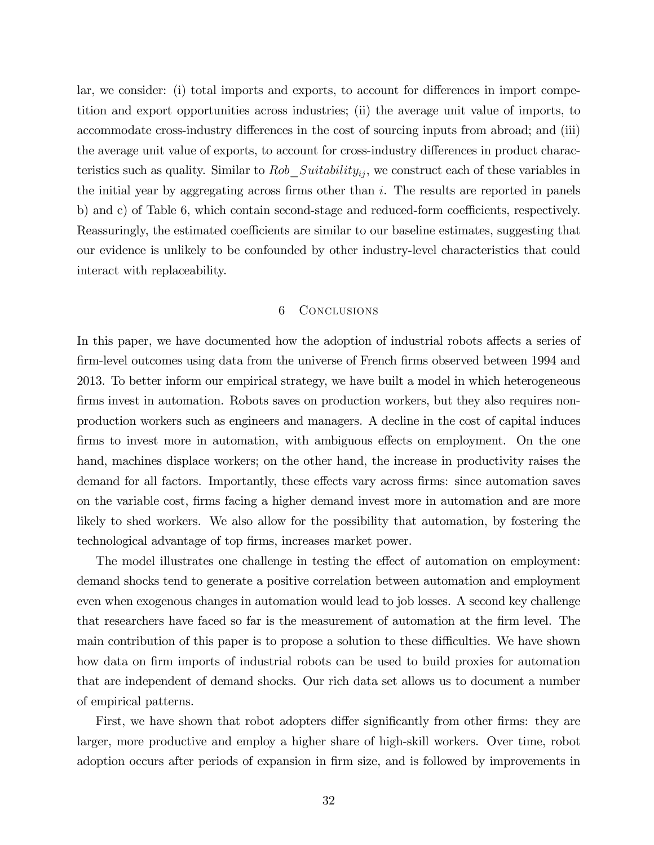lar, we consider: (i) total imports and exports, to account for differences in import competition and export opportunities across industries; (ii) the average unit value of imports, to accommodate cross-industry differences in the cost of sourcing inputs from abroad; and (iii) the average unit value of exports, to account for cross-industry differences in product characteristics such as quality. Similar to Rob  $Suitability_{ij}$ , we construct each of these variables in the initial year by aggregating across firms other than  $i$ . The results are reported in panels b) and c) of Table 6, which contain second-stage and reduced-form coefficients, respectively. Reassuringly, the estimated coefficients are similar to our baseline estimates, suggesting that our evidence is unlikely to be confounded by other industry-level characteristics that could interact with replaceability.

# 6 Conclusions

In this paper, we have documented how the adoption of industrial robots affects a series of firm-level outcomes using data from the universe of French firms observed between 1994 and 2013. To better inform our empirical strategy, we have built a model in which heterogeneous firms invest in automation. Robots saves on production workers, but they also requires nonproduction workers such as engineers and managers. A decline in the cost of capital induces firms to invest more in automation, with ambiguous effects on employment. On the one hand, machines displace workers; on the other hand, the increase in productivity raises the demand for all factors. Importantly, these effects vary across firms: since automation saves on the variable cost, Örms facing a higher demand invest more in automation and are more likely to shed workers. We also allow for the possibility that automation, by fostering the technological advantage of top firms, increases market power.

The model illustrates one challenge in testing the effect of automation on employment: demand shocks tend to generate a positive correlation between automation and employment even when exogenous changes in automation would lead to job losses. A second key challenge that researchers have faced so far is the measurement of automation at the firm level. The main contribution of this paper is to propose a solution to these difficulties. We have shown how data on firm imports of industrial robots can be used to build proxies for automation that are independent of demand shocks. Our rich data set allows us to document a number of empirical patterns.

First, we have shown that robot adopters differ significantly from other firms: they are larger, more productive and employ a higher share of high-skill workers. Over time, robot adoption occurs after periods of expansion in firm size, and is followed by improvements in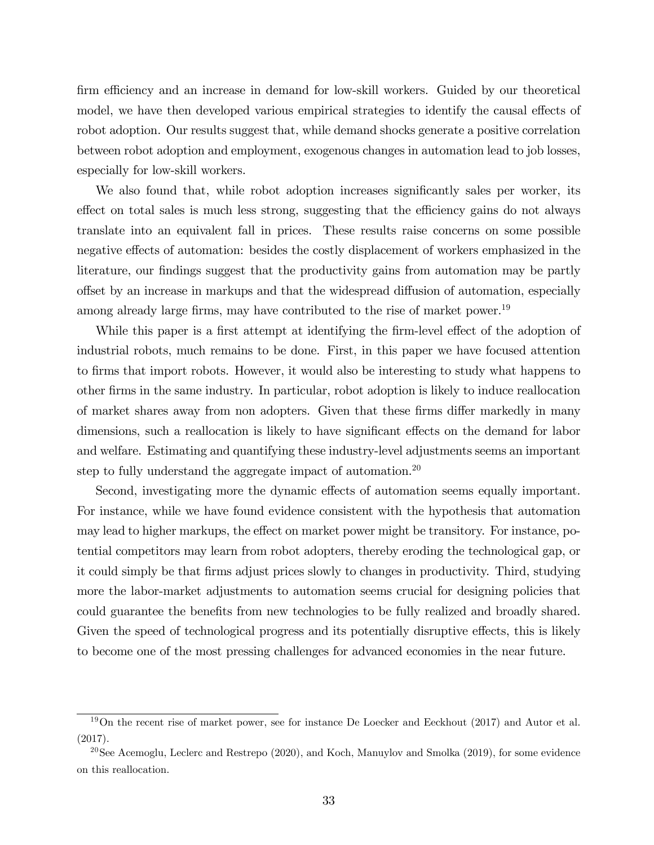firm efficiency and an increase in demand for low-skill workers. Guided by our theoretical model, we have then developed various empirical strategies to identify the causal effects of robot adoption. Our results suggest that, while demand shocks generate a positive correlation between robot adoption and employment, exogenous changes in automation lead to job losses, especially for low-skill workers.

We also found that, while robot adoption increases significantly sales per worker, its effect on total sales is much less strong, suggesting that the efficiency gains do not always translate into an equivalent fall in prices. These results raise concerns on some possible negative effects of automation: besides the costly displacement of workers emphasized in the literature, our findings suggest that the productivity gains from automation may be partly offset by an increase in markups and that the widespread diffusion of automation, especially among already large firms, may have contributed to the rise of market power.<sup>19</sup>

While this paper is a first attempt at identifying the firm-level effect of the adoption of industrial robots, much remains to be done. First, in this paper we have focused attention to Örms that import robots. However, it would also be interesting to study what happens to other Örms in the same industry. In particular, robot adoption is likely to induce reallocation of market shares away from non adopters. Given that these firms differ markedly in many dimensions, such a reallocation is likely to have significant effects on the demand for labor and welfare. Estimating and quantifying these industry-level adjustments seems an important step to fully understand the aggregate impact of automation.<sup>20</sup>

Second, investigating more the dynamic effects of automation seems equally important. For instance, while we have found evidence consistent with the hypothesis that automation may lead to higher markups, the effect on market power might be transitory. For instance, potential competitors may learn from robot adopters, thereby eroding the technological gap, or it could simply be that Örms adjust prices slowly to changes in productivity. Third, studying more the labor-market adjustments to automation seems crucial for designing policies that could guarantee the benefits from new technologies to be fully realized and broadly shared. Given the speed of technological progress and its potentially disruptive effects, this is likely to become one of the most pressing challenges for advanced economies in the near future.

<sup>&</sup>lt;sup>19</sup>On the recent rise of market power, see for instance De Loecker and Eeckhout (2017) and Autor et al. (2017).

<sup>&</sup>lt;sup>20</sup>See Acemoglu, Leclerc and Restrepo  $(2020)$ , and Koch, Manuylov and Smolka  $(2019)$ , for some evidence on this reallocation.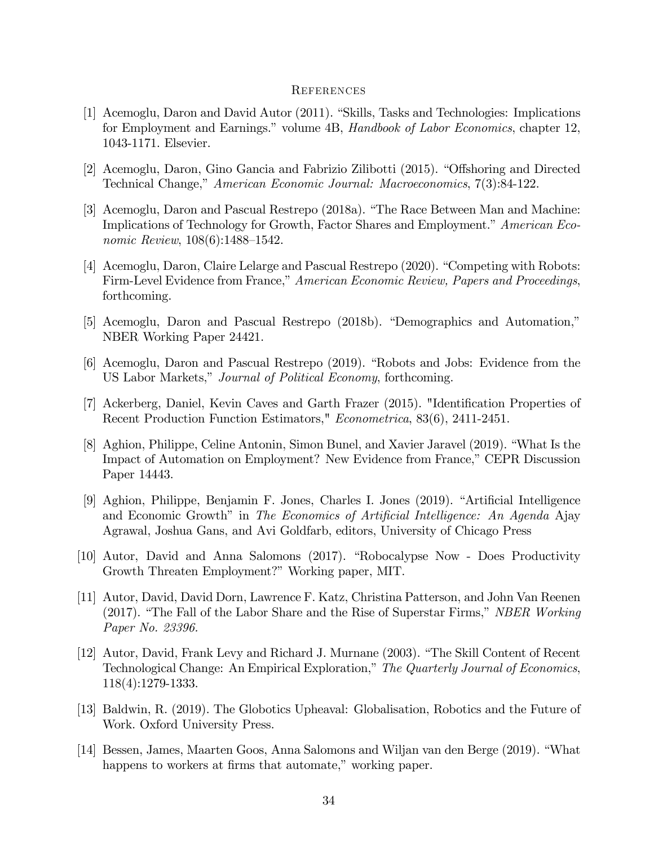#### **REFERENCES**

- [1] Acemoglu, Daron and David Autor (2011). "Skills, Tasks and Technologies: Implications for Employment and Earnings." volume 4B, Handbook of Labor Economics, chapter 12, 1043-1171. Elsevier.
- [2] Acemoglu, Daron, Gino Gancia and Fabrizio Zilibotti (2015). "Offshoring and Directed Technical Change," American Economic Journal: Macroeconomics, 7(3):84-122.
- [3] Acemoglu, Daron and Pascual Restrepo (2018a). "The Race Between Man and Machine: Implications of Technology for Growth, Factor Shares and Employment.<sup>n</sup> American Economic Review,  $108(6)$ :1488–1542.
- [4] Acemoglu, Daron, Claire Lelarge and Pascual Restrepo (2020). "Competing with Robots: Firm-Level Evidence from France," American Economic Review, Papers and Proceedings, forthcoming.
- [5] Acemoglu, Daron and Pascual Restrepo (2018b). "Demographics and Automation," NBER Working Paper 24421.
- [6] Acemoglu, Daron and Pascual Restrepo (2019). "Robots and Jobs: Evidence from the US Labor Markets," Journal of Political Economy, forthcoming.
- [7] Ackerberg, Daniel, Kevin Caves and Garth Frazer (2015). "Identification Properties of Recent Production Function Estimators," Econometrica, 83(6), 2411-2451.
- [8] Aghion, Philippe, Celine Antonin, Simon Bunel, and Xavier Jaravel (2019). "What Is the Impact of Automation on Employment? New Evidence from France," CEPR Discussion Paper 14443.
- [9] Aghion, Philippe, Benjamin F. Jones, Charles I. Jones (2019). "Artificial Intelligence and Economic Growth" in The Economics of Artificial Intelligence: An Agenda Ajay Agrawal, Joshua Gans, and Avi Goldfarb, editors, University of Chicago Press
- [10] Autor, David and Anna Salomons (2017). "Robocalypse Now Does Productivity Growth Threaten Employment?" Working paper, MIT.
- [11] Autor, David, David Dorn, Lawrence F. Katz, Christina Patterson, and John Van Reenen  $(2017)$ . "The Fall of the Labor Share and the Rise of Superstar Firms," NBER Working Paper No. 23396.
- [12] Autor, David, Frank Levy and Richard J. Murnane (2003). "The Skill Content of Recent Technological Change: An Empirical Exploration," The Quarterly Journal of Economics, 118(4):1279-1333.
- [13] Baldwin, R. (2019). The Globotics Upheaval: Globalisation, Robotics and the Future of Work. Oxford University Press.
- [14] Bessen, James, Maarten Goos, Anna Salomons and Wiljan van den Berge (2019). "What happens to workers at firms that automate," working paper.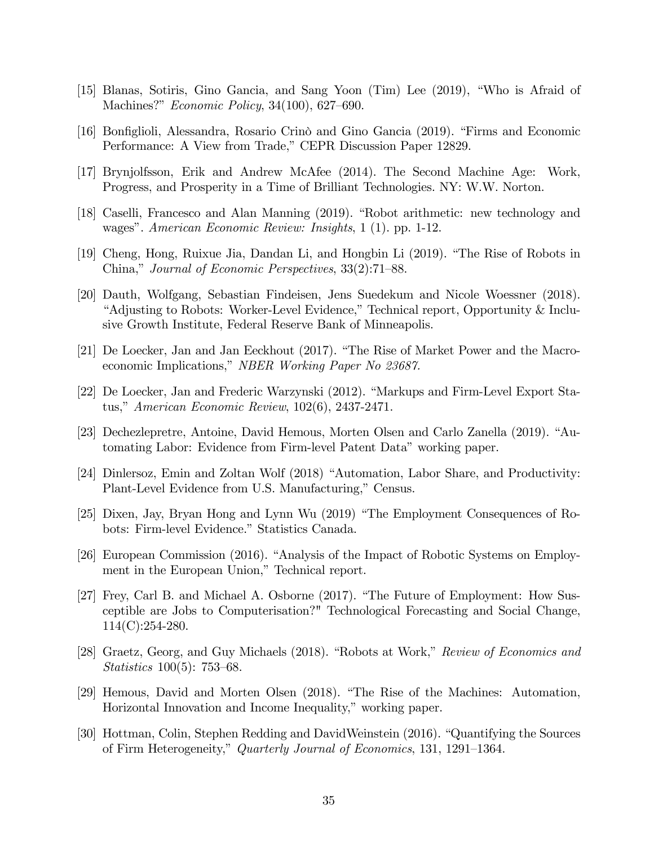- [15] Blanas, Sotiris, Gino Gancia, and Sang Yoon  $(Tim)$  Lee  $(2019)$ , "Who is Afraid of Machines?"  $Economic Policy, 34(100), 627-690.$
- [16] Bonfiglioli, Alessandra, Rosario Crinò and Gino Gancia (2019). "Firms and Economic Performance: A View from Trade," CEPR Discussion Paper 12829.
- [17] Brynjolfsson, Erik and Andrew McAfee (2014). The Second Machine Age: Work, Progress, and Prosperity in a Time of Brilliant Technologies. NY: W.W. Norton.
- [18] Caselli, Francesco and Alan Manning (2019). "Robot arithmetic: new technology and wages". American Economic Review: Insights, 1 (1). pp. 1-12.
- [19] Cheng, Hong, Ruixue Jia, Dandan Li, and Hongbin Li (2019). "The Rise of Robots in China," Journal of Economic Perspectives,  $33(2)$ :71–88.
- [20] Dauth, Wolfgang, Sebastian Findeisen, Jens Suedekum and Nicole Woessner (2018). <sup>"</sup>Adjusting to Robots: Worker-Level Evidence," Technical report, Opportunity & Inclusive Growth Institute, Federal Reserve Bank of Minneapolis.
- $[21]$  De Loecker, Jan and Jan Eeckhout  $(2017)$ . "The Rise of Market Power and the Macroeconomic Implications," NBER Working Paper No 23687.
- [22] De Loecker, Jan and Frederic Warzynski (2012). "Markups and Firm-Level Export Status," American Economic Review,  $102(6)$ , 2437-2471.
- [23] Dechezlepretre, Antoine, David Hemous, Morten Olsen and Carlo Zanella (2019). "Automating Labor: Evidence from Firm-level Patent Data" working paper.
- [24] Dinlersoz, Emin and Zoltan Wolf (2018) "Automation, Labor Share, and Productivity: Plant-Level Evidence from U.S. Manufacturing," Census.
- [25] Dixen, Jay, Bryan Hong and Lynn Wu (2019) "The Employment Consequences of Robots: Firm-level Evidence." Statistics Canada.
- [26] European Commission (2016). "Analysis of the Impact of Robotic Systems on Employment in the European Union," Technical report.
- [27] Frey, Carl B. and Michael A. Osborne (2017). "The Future of Employment: How Susceptible are Jobs to Computerisation?" Technological Forecasting and Social Change, 114(C):254-280.
- [28] Graetz, Georg, and Guy Michaels (2018). "Robots at Work," Review of Economics and Statistics  $100(5)$ : 753–68.
- [29] Hemous, David and Morten Olsen (2018). "The Rise of the Machines: Automation, Horizontal Innovation and Income Inequality," working paper.
- [30] Hottman, Colin, Stephen Redding and DavidWeinstein (2016). "Quantifying the Sources of Firm Heterogeneity," Quarterly Journal of Economics, 131, 1291–1364.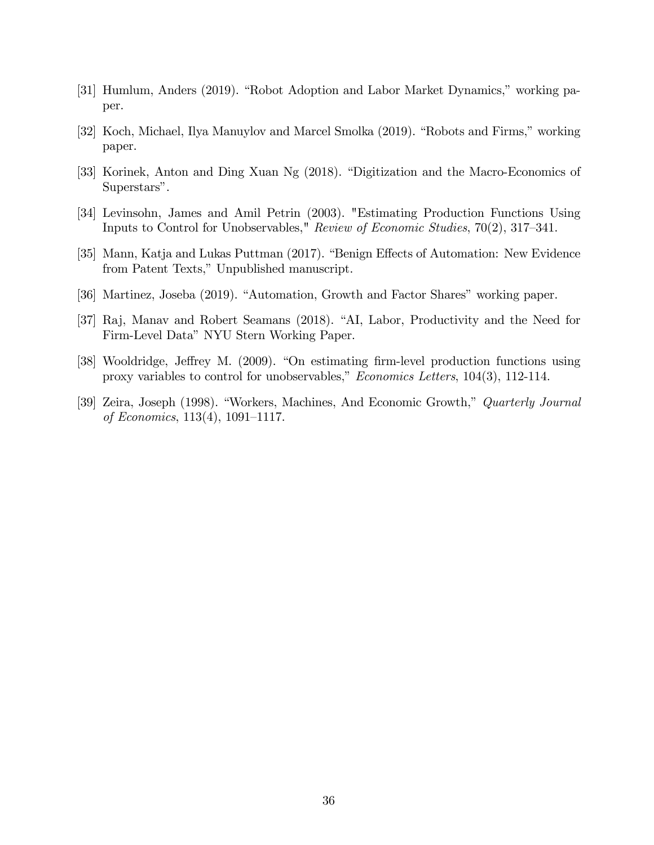- [31] Humlum, Anders (2019). "Robot Adoption and Labor Market Dynamics," working paper.
- [32] Koch, Michael, Ilya Manuylov and Marcel Smolka (2019). "Robots and Firms," working paper.
- [33] Korinek, Anton and Ding Xuan Ng (2018). "Digitization and the Macro-Economics of Superstars".
- [34] Levinsohn, James and Amil Petrin (2003). "Estimating Production Functions Using Inputs to Control for Unobservables," Review of Economic Studies,  $70(2)$ ,  $317-341$ .
- [35] Mann, Katja and Lukas Puttman (2017). "Benign Effects of Automation: New Evidence from Patent Texts," Unpublished manuscript.
- [36] Martinez, Joseba (2019). "Automation, Growth and Factor Shares" working paper.
- [37] Raj, Manav and Robert Seamans (2018). "AI, Labor, Productivity and the Need for Firm-Level Data" NYU Stern Working Paper.
- [38] Wooldridge, Jeffrey M. (2009). "On estimating firm-level production functions using proxy variables to control for unobservables,"  $Economics$  Letters,  $104(3)$ ,  $112-114$ .
- [39] Zeira, Joseph (1998). "Workers, Machines, And Economic Growth," Quarterly Journal of Economics,  $113(4)$ ,  $1091-1117$ .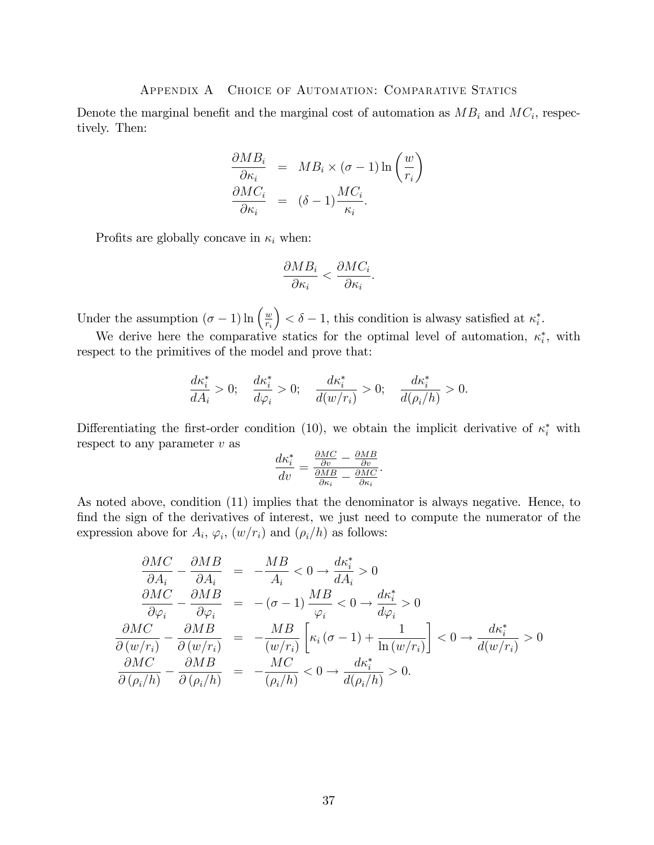## Appendix A Choice of Automation: Comparative Statics

Denote the marginal benefit and the marginal cost of automation as  $MB_i$  and  $MC_i$ , respectively. Then:

$$
\frac{\partial MB_i}{\partial \kappa_i} = MB_i \times (\sigma - 1) \ln \left( \frac{w}{r_i} \right)
$$

$$
\frac{\partial MC_i}{\partial \kappa_i} = (\delta - 1) \frac{MC_i}{\kappa_i}.
$$

Profits are globally concave in  $\kappa_i$  when:

$$
\frac{\partial MB_i}{\partial \kappa_i} < \frac{\partial MC_i}{\partial \kappa_i}.
$$

Under the assumption  $(\sigma - 1) \ln \left( \frac{w}{r_i} \right)$ ri  $\Big) < \delta - 1$ , this condition is alwasy satisfied at  $\kappa_i^*$ .

We derive here the comparative statics for the optimal level of automation,  $\kappa_i^*$ , with respect to the primitives of the model and prove that:

$$
\frac{d\kappa_i^*}{dA_i} > 0; \quad \frac{d\kappa_i^*}{d\varphi_i} > 0; \quad \frac{d\kappa_i^*}{d(w/r_i)} > 0; \quad \frac{d\kappa_i^*}{d(\rho_i/h)} > 0.
$$

Differentiating the first-order condition (10), we obtain the implicit derivative of  $\kappa_i^*$  with respect to any parameter  $v$  as

$$
\frac{d\kappa_i^*}{dv} = \frac{\frac{\partial MC}{\partial v} - \frac{\partial MB}{\partial v}}{\frac{\partial MB}{\partial \kappa_i} - \frac{\partial MC}{\partial \kappa_i}}.
$$

As noted above, condition (11) implies that the denominator is always negative. Hence, to find the sign of the derivatives of interest, we just need to compute the numerator of the expression above for  $A_i$ ,  $\varphi_i$ ,  $(w/r_i)$  and  $(\rho_i/h)$  as follows:

$$
\frac{\partial MC}{\partial A_i} - \frac{\partial MB}{\partial A_i} = -\frac{MB}{A_i} < 0 \rightarrow \frac{d\kappa_i^*}{dA_i} > 0
$$
\n
$$
\frac{\partial MC}{\partial \varphi_i} - \frac{\partial MB}{\partial \varphi_i} = -(\sigma - 1) \frac{MB}{\varphi_i} < 0 \rightarrow \frac{d\kappa_i^*}{d\varphi_i} > 0
$$
\n
$$
\frac{\partial MC}{\partial (w/r_i)} - \frac{\partial MB}{\partial (w/r_i)} = -\frac{MB}{(w/r_i)} \left[ \kappa_i (\sigma - 1) + \frac{1}{\ln(w/r_i)} \right] < 0 \rightarrow \frac{d\kappa_i^*}{d(w/r_i)} > 0
$$
\n
$$
\frac{\partial MC}{\partial (\rho_i/h)} - \frac{\partial MB}{\partial (\rho_i/h)} = -\frac{MC}{(\rho_i/h)} < 0 \rightarrow \frac{d\kappa_i^*}{d(\rho_i/h)} > 0.
$$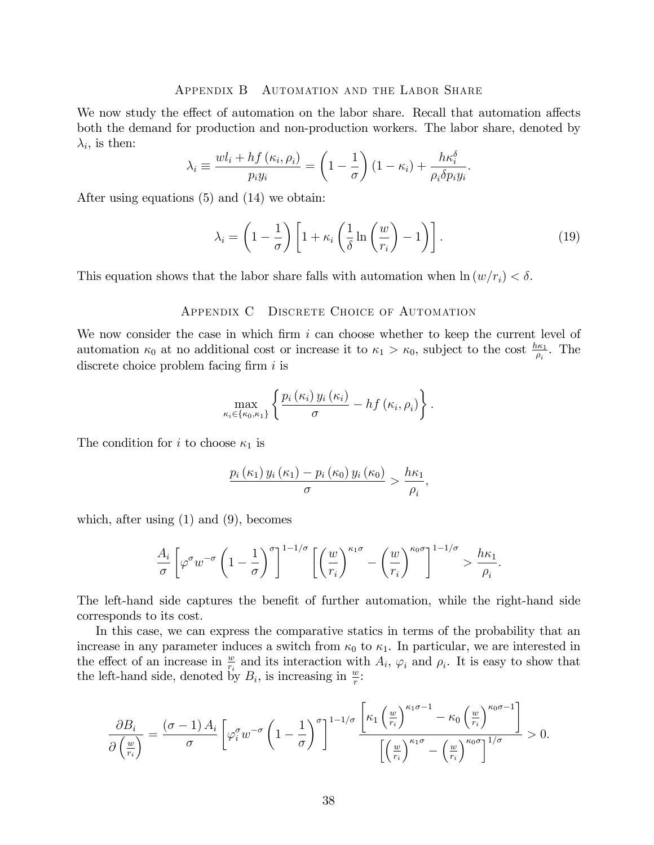#### Appendix B Automation and the Labor Share

We now study the effect of automation on the labor share. Recall that automation affects both the demand for production and non-production workers. The labor share, denoted by  $\lambda_i$ , is then:

$$
\lambda_i \equiv \frac{wl_i + hf(\kappa_i, \rho_i)}{p_i y_i} = \left(1 - \frac{1}{\sigma}\right) \left(1 - \kappa_i\right) + \frac{h\kappa_i^{\delta}}{\rho_i \delta p_i y_i}.
$$

After using equations (5) and (14) we obtain:

$$
\lambda_i = \left(1 - \frac{1}{\sigma}\right) \left[1 + \kappa_i \left(\frac{1}{\delta} \ln\left(\frac{w}{r_i}\right) - 1\right)\right].\tag{19}
$$

This equation shows that the labor share falls with automation when  $\ln(w/r_i) < \delta$ .

## Appendix C Discrete Choice of Automation

We now consider the case in which firm  $i$  can choose whether to keep the current level of automation  $\kappa_0$  at no additional cost or increase it to  $\kappa_1 > \kappa_0$ , subject to the cost  $\frac{h\kappa_1}{\rho_i}$ . The discrete choice problem facing firm  $i$  is

$$
\max_{\kappa_i \in \{\kappa_0, \kappa_1\}} \left\{ \frac{p_i(\kappa_i) y_i(\kappa_i)}{\sigma} - h f(\kappa_i, \rho_i) \right\}.
$$

The condition for i to choose  $\kappa_1$  is

$$
\frac{p_i(\kappa_1) y_i(\kappa_1) - p_i(\kappa_0) y_i(\kappa_0)}{\sigma} > \frac{h\kappa_1}{\rho_i},
$$

which, after using (1) and (9), becomes

$$
\frac{A_i}{\sigma} \left[ \varphi^{\sigma} w^{-\sigma} \left( 1 - \frac{1}{\sigma} \right)^{\sigma} \right]^{1 - 1/\sigma} \left[ \left( \frac{w}{r_i} \right)^{\kappa_1 \sigma} - \left( \frac{w}{r_i} \right)^{\kappa_0 \sigma} \right]^{1 - 1/\sigma} > \frac{h \kappa_1}{\rho_i}.
$$

The left-hand side captures the benefit of further automation, while the right-hand side corresponds to its cost.

In this case, we can express the comparative statics in terms of the probability that an increase in any parameter induces a switch from  $\kappa_0$  to  $\kappa_1$ . In particular, we are interested in the effect of an increase in  $\frac{w}{r_i}$  and its interaction with  $A_i$ ,  $\varphi_i$  and  $\rho_i$ . It is easy to show that the left-hand side, denoted by  $B_i$ , is increasing in  $\frac{w}{r}$ .

$$
\frac{\partial B_i}{\partial \left(\frac{w}{r_i}\right)} = \frac{(\sigma - 1) A_i}{\sigma} \left[ \varphi_i^{\sigma} w^{-\sigma} \left(1 - \frac{1}{\sigma}\right)^{\sigma} \right]^{1 - 1/\sigma} \frac{\left[ \kappa_1 \left(\frac{w}{r_i}\right)^{\kappa_1 \sigma - 1} - \kappa_0 \left(\frac{w}{r_i}\right)^{\kappa_0 \sigma - 1} \right]}{\left[\left(\frac{w}{r_i}\right)^{\kappa_1 \sigma} - \left(\frac{w}{r_i}\right)^{\kappa_0 \sigma}\right]^{1/\sigma}} > 0.
$$